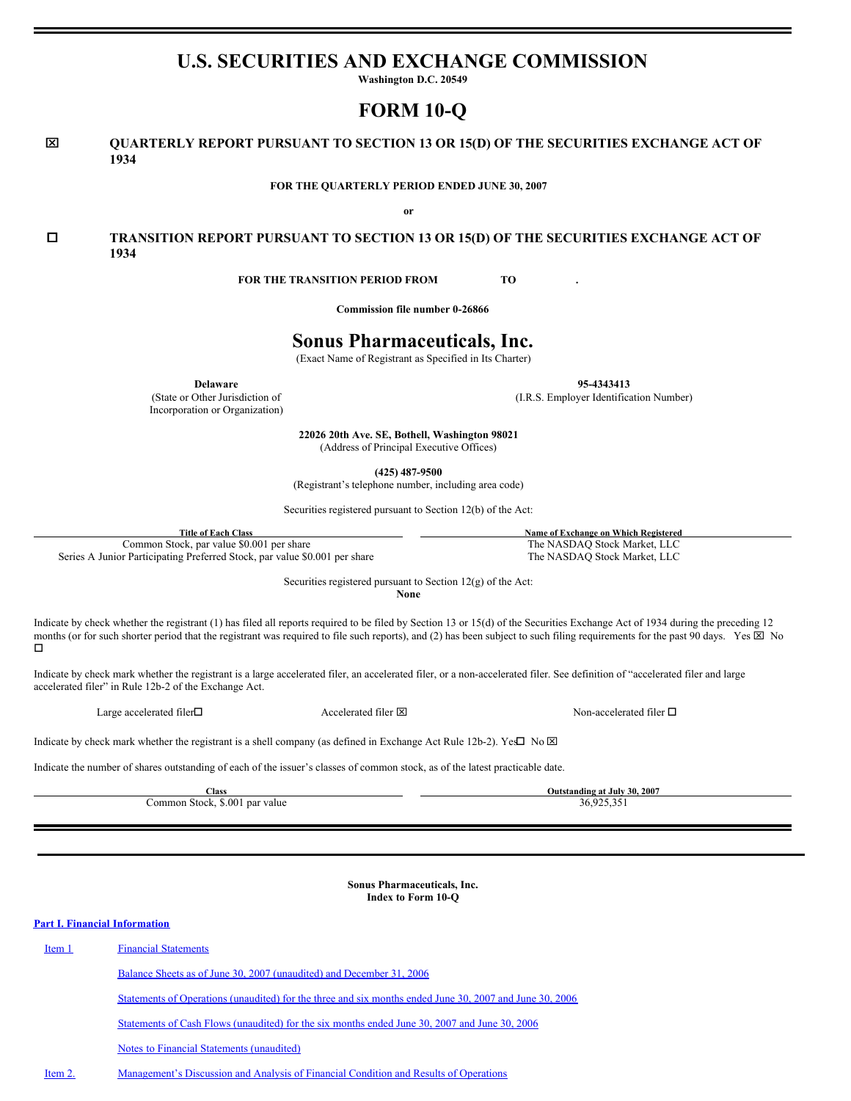# **U.S. SECURITIES AND EXCHANGE COMMISSION**

**Washington D.C. 20549**

**FORM 10-Q**

# x **QUARTERLY REPORT PURSUANT TO SECTION 13 OR 15(D) OF THE SECURITIES EXCHANGE ACT OF 1934**

**FOR THE QUARTERLY PERIOD ENDED JUNE 30, 2007**

**or**

# o **TRANSITION REPORT PURSUANT TO SECTION 13 OR 15(D) OF THE SECURITIES EXCHANGE ACT OF 1934**

**FOR THE TRANSITION PERIOD FROM TO .**

**Commission file number 0-26866**

# **Sonus Pharmaceuticals, Inc.**

(Exact Name of Registrant as Specified in Its Charter)

**Delaware 95-4343413**

(State or Other Jurisdiction of (I.R.S. Employer Identification Number) Incorporation or Organization)

**22026 20th Ave. SE, Bothell, Washington 98021** (Address of Principal Executive Offices)

**(425) 487-9500**

(Registrant's telephone number, including area code)

Securities registered pursuant to Section 12(b) of the Act:

**Title of Each Class Name of Exchange on Which Registered** Common Stock, par value \$0.001 per share The NASDAQ Stock Market, LLC Series A Junior Participating Preferred Stock, par value \$0.001 per share The NASDAQ Stock Market, LLC

Securities registered pursuant to Section 12(g) of the Act:

**None**

Indicate by check whether the registrant (1) has filed all reports required to be filed by Section 13 or 15(d) of the Securities Exchange Act of 1934 during the preceding 12 months (or for such shorter period that the registrant was required to file such reports), and (2) has been subject to such filing requirements for the past 90 days. Yes  $\boxtimes$  No  $\Box$ 

Indicate by check mark whether the registrant is a large accelerated filer, an accelerated filer, or a non-accelerated filer. See definition of "accelerated filer and large accelerated filer" in Rule 12b-2 of the Exchange Act.

Large accelerated filer $\square$  Accelerated filer  $\square$  Accelerated filer  $\square$  Non-accelerated filer  $\square$ 

Indicate by check mark whether the registrant is a shell company (as defined in Exchange Act Rule 12b-2). Yes $\square$  No  $\boxtimes$ 

Indicate the number of shares outstanding of each of the issuer's classes of common stock, as of the latest practicable date.

Common Stock, \$.001 par value 36,925,351

**Sonus Pharmaceuticals, Inc. Index to Form 10-Q**

# **Part I. Financial [Information](#page-1-0)**

| Item 1 | <b>Financial Statements</b>                                                                             |
|--------|---------------------------------------------------------------------------------------------------------|
|        | Balance Sheets as of June 30, 2007 (unaudited) and December 31, 2006                                    |
|        | Statements of Operations (unaudited) for the three and six months ended June 30, 2007 and June 30, 2006 |
|        | Statements of Cash Flows (unaudited) for the six months ended June 30, 2007 and June 30, 2006           |
|        | Notes to Financial Statements (unaudited)                                                               |

[Item](#page-5-0) 2. [Management's](#page-5-0) Discussion and Analysis of Financial Condition and Results of Operations

**Class Outstanding at July 30, 2007**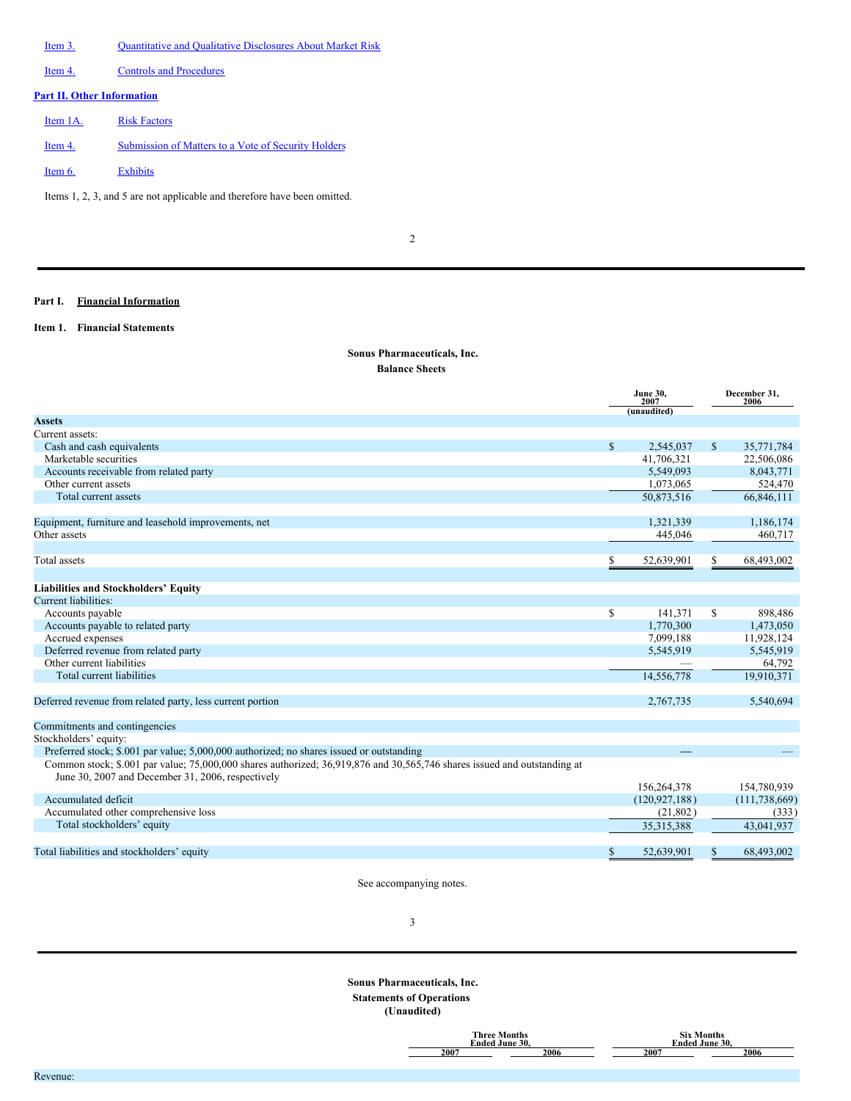# [Item](#page-10-0) 3. [Quantitative](#page-10-0) and Qualitative Disclosures About Market Risk

[Item](#page-10-1) 4. Controls and [Procedures](#page-10-1)

# **Part II. Other [Information](#page-11-0)**

| Item 1A.  | <b>Risk Factors</b>                                 |
|-----------|-----------------------------------------------------|
| Item 4.   | Submission of Matters to a Vote of Security Holders |
| Item $6.$ | <b>Exhibits</b>                                     |

Items 1, 2, 3, and 5 are not applicable and therefore have been omitted.

2

# <span id="page-1-0"></span>**Part I. Financial Information**

# <span id="page-1-1"></span>**Item 1. Financial Statements**

# **Sonus Pharmaceuticals, Inc.**

<span id="page-1-2"></span>

| <b>Balance Sheets</b> |  |
|-----------------------|--|
|-----------------------|--|

|                                                                                                                          |              | <b>June 30,</b><br>2007 |              | December 31,<br>2006 |  |  |
|--------------------------------------------------------------------------------------------------------------------------|--------------|-------------------------|--------------|----------------------|--|--|
|                                                                                                                          |              | (unaudited)             |              |                      |  |  |
| <b>Assets</b>                                                                                                            |              |                         |              |                      |  |  |
| Current assets:                                                                                                          |              |                         |              |                      |  |  |
| Cash and cash equivalents                                                                                                | $\mathbb{S}$ | 2,545,037               | $\mathbb{S}$ | 35,771,784           |  |  |
| Marketable securities                                                                                                    |              | 41,706,321              |              | 22,506,086           |  |  |
| Accounts receivable from related party                                                                                   |              | 5,549,093               |              | 8,043,771            |  |  |
| Other current assets                                                                                                     |              | 1,073,065               |              | 524,470              |  |  |
| Total current assets                                                                                                     |              | 50,873,516              |              | 66,846,111           |  |  |
| Equipment, furniture and leasehold improvements, net                                                                     |              | 1,321,339               |              | 1,186,174            |  |  |
| Other assets                                                                                                             |              | 445,046                 |              | 460,717              |  |  |
|                                                                                                                          |              |                         |              |                      |  |  |
| Total assets                                                                                                             | \$           | 52,639,901              | \$           | 68,493,002           |  |  |
|                                                                                                                          |              |                         |              |                      |  |  |
| <b>Liabilities and Stockholders' Equity</b>                                                                              |              |                         |              |                      |  |  |
| Current liabilities:                                                                                                     |              |                         |              |                      |  |  |
| Accounts payable                                                                                                         | \$           | 141,371                 | \$           | 898,486              |  |  |
| Accounts payable to related party                                                                                        |              | 1,770,300               |              | 1,473,050            |  |  |
| Accrued expenses                                                                                                         |              | 7,099,188               |              | 11,928,124           |  |  |
| Deferred revenue from related party                                                                                      |              | 5,545,919               |              | 5,545,919            |  |  |
| Other current liabilities                                                                                                |              |                         |              | 64,792               |  |  |
| Total current liabilities                                                                                                |              | 14,556,778              |              | 19,910,371           |  |  |
|                                                                                                                          |              |                         |              |                      |  |  |
| Deferred revenue from related party, less current portion                                                                |              | 2,767,735               |              | 5,540,694            |  |  |
| Commitments and contingencies                                                                                            |              |                         |              |                      |  |  |
| Stockholders' equity:                                                                                                    |              |                         |              |                      |  |  |
| Preferred stock; \$.001 par value; 5,000,000 authorized; no shares issued or outstanding                                 |              |                         |              |                      |  |  |
| Common stock; \$.001 par value; 75,000,000 shares authorized; 36,919,876 and 30,565,746 shares issued and outstanding at |              |                         |              |                      |  |  |
| June 30, 2007 and December 31, 2006, respectively                                                                        |              |                         |              |                      |  |  |
|                                                                                                                          |              | 156,264,378             |              | 154,780,939          |  |  |
| Accumulated deficit                                                                                                      |              | (120, 927, 188)         |              | (111, 738, 669)      |  |  |
| Accumulated other comprehensive loss                                                                                     |              | (21, 802)               |              | (333)                |  |  |
| Total stockholders' equity                                                                                               |              | 35, 315, 388            |              | 43.041.937           |  |  |
|                                                                                                                          |              |                         |              |                      |  |  |
| Total liabilities and stockholders' equity                                                                               | \$           | 52,639,901              | \$           | 68,493,002           |  |  |

See accompanying notes.

**Sonus Pharmaceuticals, Inc. Statements of Operations**

# **(Unaudited)**

<span id="page-1-3"></span>

| <b>Three Months</b><br>Ended June 30. |      |      | <b>Six Months</b><br>Ended June 30. |
|---------------------------------------|------|------|-------------------------------------|
| 2007                                  | 2006 | 2007 | 2006                                |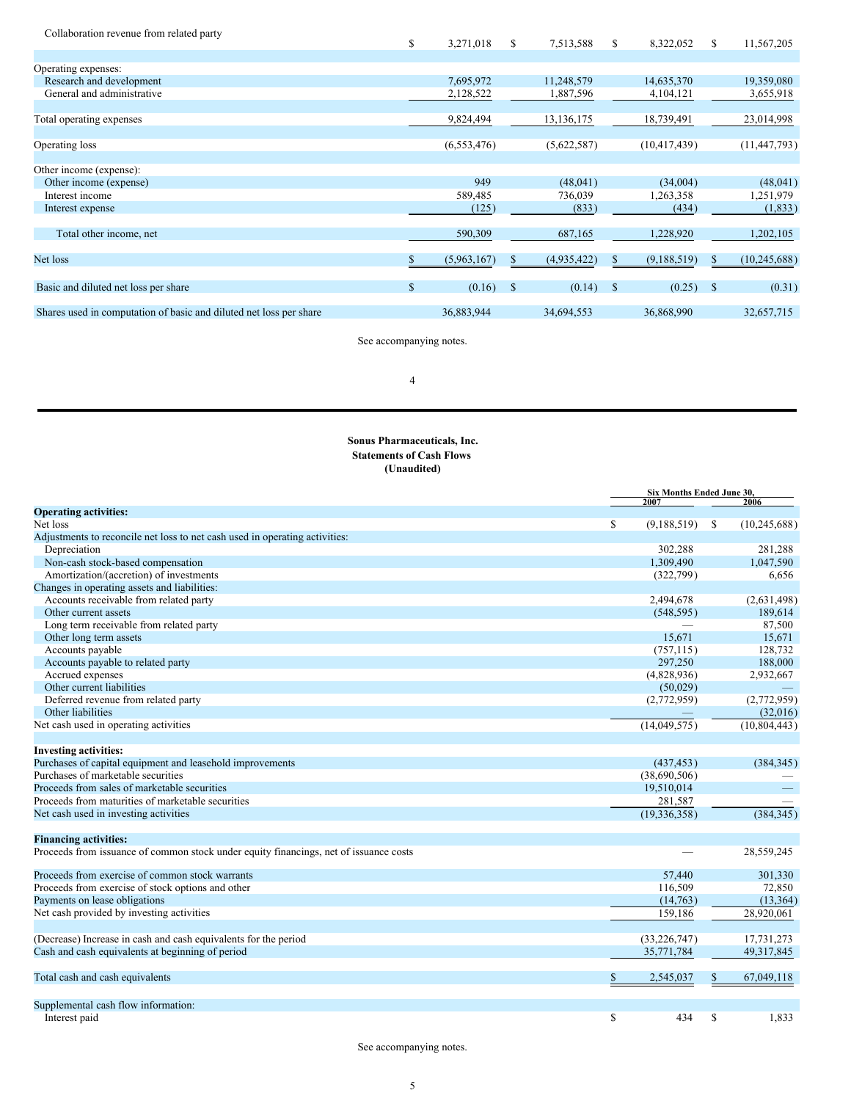| Collaboration revenue from related party                           | \$<br>3,271,018 | S.          | 7,513,588   | S  | 8,322,052      | S             | 11,567,205     |
|--------------------------------------------------------------------|-----------------|-------------|-------------|----|----------------|---------------|----------------|
|                                                                    |                 |             |             |    |                |               |                |
| Operating expenses:                                                |                 |             |             |    |                |               |                |
| Research and development                                           | 7,695,972       |             | 11,248,579  |    | 14,635,370     |               | 19,359,080     |
| General and administrative                                         | 2,128,522       |             | 1,887,596   |    | 4,104,121      |               | 3,655,918      |
|                                                                    |                 |             |             |    |                |               |                |
| Total operating expenses                                           | 9,824,494       |             | 13,136,175  |    | 18,739,491     |               | 23,014,998     |
|                                                                    |                 |             |             |    |                |               |                |
| Operating loss                                                     | (6, 553, 476)   |             | (5,622,587) |    | (10, 417, 439) |               | (11, 447, 793) |
|                                                                    |                 |             |             |    |                |               |                |
| Other income (expense):                                            |                 |             |             |    |                |               |                |
| Other income (expense)                                             | 949             |             | (48,041)    |    | (34,004)       |               | (48,041)       |
| Interest income                                                    | 589,485         |             | 736,039     |    | 1,263,358      |               | 1,251,979      |
| Interest expense                                                   | (125)           |             | (833)       |    | (434)          |               | (1, 833)       |
|                                                                    |                 |             |             |    |                |               |                |
| Total other income, net                                            | 590,309         |             | 687,165     |    | 1,228,920      |               | 1,202,105      |
|                                                                    |                 |             |             |    |                |               |                |
| Net loss                                                           | (5,963,167)     |             | (4,935,422) |    | (9,188,519)    |               | (10, 245, 688) |
|                                                                    |                 |             |             |    |                |               |                |
| Basic and diluted net loss per share                               | \$<br>(0.16)    | $\mathbf S$ | (0.14)      | -S | (0.25)         | <sup>\$</sup> | (0.31)         |
| Shares used in computation of basic and diluted net loss per share | 36,883,944      |             | 34,694,553  |    | 36,868,990     |               | 32,657,715     |
|                                                                    |                 |             |             |    |                |               |                |

See accompanying notes.

<span id="page-2-0"></span>4

# **Sonus Pharmaceuticals, Inc. Statements of Cash Flows (Unaudited)**

|                                                                                       |   | Six Months Ended June 30, |               |                |
|---------------------------------------------------------------------------------------|---|---------------------------|---------------|----------------|
|                                                                                       |   | 2007                      |               | 2006           |
| <b>Operating activities:</b>                                                          |   |                           |               |                |
| Net loss                                                                              | S | (9,188,519)               | <sup>\$</sup> | (10, 245, 688) |
| Adjustments to reconcile net loss to net cash used in operating activities:           |   |                           |               |                |
| Depreciation                                                                          |   | 302.288                   |               | 281,288        |
| Non-cash stock-based compensation                                                     |   | 1,309,490                 |               | 1,047,590      |
| Amortization/(accretion) of investments                                               |   | (322, 799)                |               | 6.656          |
| Changes in operating assets and liabilities:                                          |   |                           |               |                |
| Accounts receivable from related party                                                |   | 2,494,678                 |               | (2,631,498)    |
| Other current assets                                                                  |   | (548, 595)                |               | 189,614        |
| Long term receivable from related party                                               |   |                           |               | 87,500         |
| Other long term assets                                                                |   | 15,671                    |               | 15,671         |
| Accounts payable                                                                      |   | (757, 115)                |               | 128,732        |
| Accounts payable to related party                                                     |   | 297,250                   |               | 188,000        |
| Accrued expenses                                                                      |   | (4,828,936)               |               | 2,932,667      |
| Other current liabilities                                                             |   | (50,029)                  |               |                |
| Deferred revenue from related party                                                   |   | (2,772,959)               |               | (2,772,959)    |
| Other liabilities                                                                     |   |                           |               | (32,016)       |
| Net cash used in operating activities                                                 |   | (14,049,575)              |               | (10, 804, 443) |
|                                                                                       |   |                           |               |                |
| <b>Investing activities:</b>                                                          |   |                           |               |                |
| Purchases of capital equipment and leasehold improvements                             |   | (437, 453)                |               | (384, 345)     |
| Purchases of marketable securities                                                    |   | (38,690,506)              |               |                |
| Proceeds from sales of marketable securities                                          |   | 19,510,014                |               |                |
| Proceeds from maturities of marketable securities                                     |   | 281,587                   |               |                |
| Net cash used in investing activities                                                 |   | (19, 336, 358)            |               | (384, 345)     |
|                                                                                       |   |                           |               |                |
| <b>Financing activities:</b>                                                          |   |                           |               |                |
| Proceeds from issuance of common stock under equity financings, net of issuance costs |   |                           |               | 28,559,245     |
|                                                                                       |   |                           |               |                |
| Proceeds from exercise of common stock warrants                                       |   | 57,440                    |               | 301,330        |
| Proceeds from exercise of stock options and other                                     |   | 116,509                   |               | 72.850         |
| Payments on lease obligations                                                         |   | (14,763)                  |               | (13, 364)      |
| Net cash provided by investing activities                                             |   | 159.186                   |               | 28,920,061     |
|                                                                                       |   |                           |               |                |
|                                                                                       |   |                           |               |                |
| (Decrease) Increase in cash and cash equivalents for the period                       |   | (33, 226, 747)            |               | 17,731,273     |
| Cash and cash equivalents at beginning of period                                      |   | 35,771,784                |               | 49,317,845     |
|                                                                                       |   |                           |               |                |
| Total cash and cash equivalents                                                       | S | 2,545,037                 | \$            | 67,049,118     |
|                                                                                       |   |                           |               |                |
| Supplemental cash flow information:                                                   |   |                           |               |                |
| Interest paid                                                                         | S | 434                       | \$            | 1.833          |
|                                                                                       |   |                           |               |                |

See accompanying notes.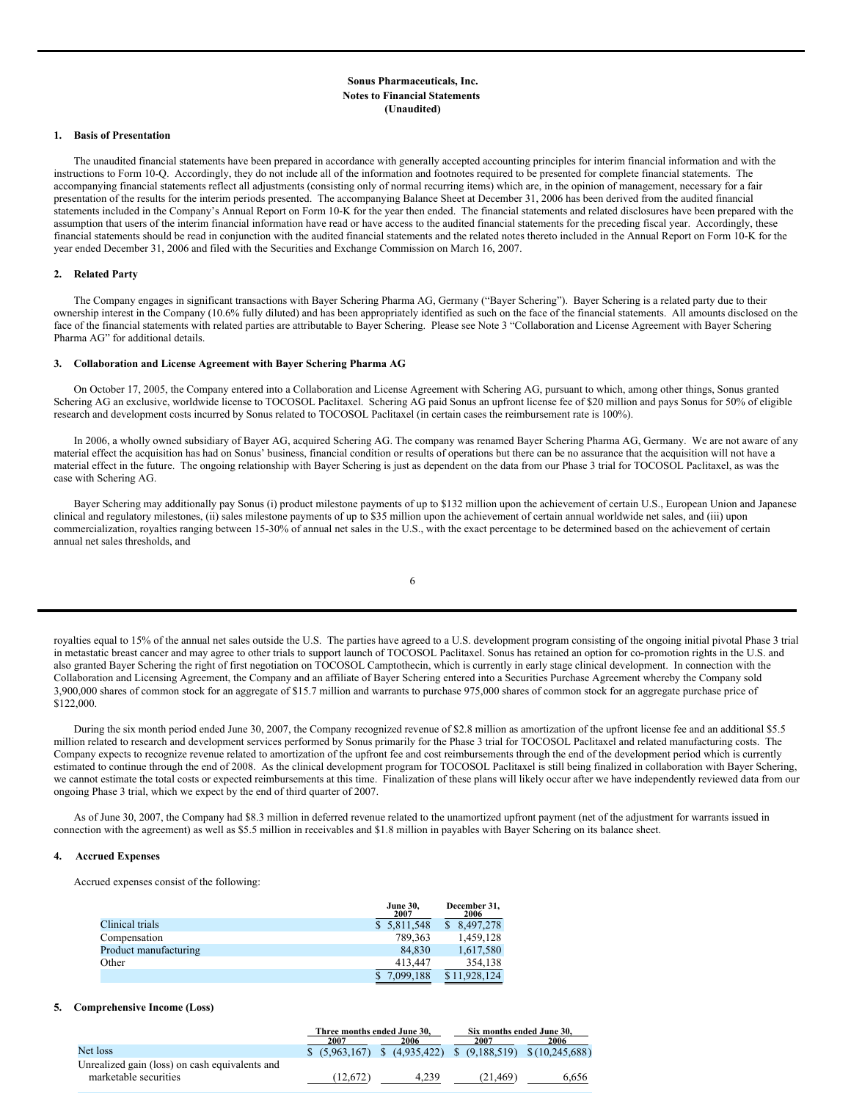# <span id="page-3-0"></span>**Sonus Pharmaceuticals, Inc. Notes to Financial Statements (Unaudited)**

# **1. Basis of Presentation**

The unaudited financial statements have been prepared in accordance with generally accepted accounting principles for interim financial information and with the instructions to Form 10-Q. Accordingly, they do not include all of the information and footnotes required to be presented for complete financial statements. The accompanying financial statements reflect all adjustments (consisting only of normal recurring items) which are, in the opinion of management, necessary for a fair presentation of the results for the interim periods presented. The accompanying Balance Sheet at December 31, 2006 has been derived from the audited financial statements included in the Company's Annual Report on Form 10-K for the year then ended. The financial statements and related disclosures have been prepared with the assumption that users of the interim financial information have read or have access to the audited financial statements for the preceding fiscal year. Accordingly, these financial statements should be read in conjunction with the audited financial statements and the related notes thereto included in the Annual Report on Form 10-K for the year ended December 31, 2006 and filed with the Securities and Exchange Commission on March 16, 2007.

#### **2. Related Party**

The Company engages in significant transactions with Bayer Schering Pharma AG, Germany ("Bayer Schering"). Bayer Schering is a related party due to their ownership interest in the Company (10.6% fully diluted) and has been appropriately identified as such on the face of the financial statements. All amounts disclosed on the face of the financial statements with related parties are attributable to Bayer Schering. Please see Note 3 "Collaboration and License Agreement with Bayer Schering Pharma AG" for additional details.

#### **3. Collaboration and License Agreement with Bayer Schering Pharma AG**

On October 17, 2005, the Company entered into a Collaboration and License Agreement with Schering AG, pursuant to which, among other things, Sonus granted Schering AG an exclusive, worldwide license to TOCOSOL Paclitaxel. Schering AG paid Sonus an upfront license fee of \$20 million and pays Sonus for 50% of eligible research and development costs incurred by Sonus related to TOCOSOL Paclitaxel (in certain cases the reimbursement rate is 100%).

In 2006, a wholly owned subsidiary of Bayer AG, acquired Schering AG. The company was renamed Bayer Schering Pharma AG, Germany. We are not aware of any material effect the acquisition has had on Sonus' business, financial condition or results of operations but there can be no assurance that the acquisition will not have a material effect in the future. The ongoing relationship with Bayer Schering is just as dependent on the data from our Phase 3 trial for TOCOSOL Paclitaxel, as was the case with Schering AG.

Bayer Schering may additionally pay Sonus (i) product milestone payments of up to \$132 million upon the achievement of certain U.S., European Union and Japanese clinical and regulatory milestones, (ii) sales milestone payments of up to \$35 million upon the achievement of certain annual worldwide net sales, and (iii) upon commercialization, royalties ranging between 15-30% of annual net sales in the U.S., with the exact percentage to be determined based on the achievement of certain annual net sales thresholds, and

6

royalties equal to 15% of the annual net sales outside the U.S. The parties have agreed to a U.S. development program consisting of the ongoing initial pivotal Phase 3 trial in metastatic breast cancer and may agree to other trials to support launch of TOCOSOL Paclitaxel. Sonus has retained an option for co-promotion rights in the U.S. and also granted Bayer Schering the right of first negotiation on TOCOSOL Camptothecin, which is currently in early stage clinical development. In connection with the Collaboration and Licensing Agreement, the Company and an affiliate of Bayer Schering entered into a Securities Purchase Agreement whereby the Company sold 3,900,000 shares of common stock for an aggregate of \$15.7 million and warrants to purchase 975,000 shares of common stock for an aggregate purchase price of \$122,000.

During the six month period ended June 30, 2007, the Company recognized revenue of \$2.8 million as amortization of the upfront license fee and an additional \$5.5 million related to research and development services performed by Sonus primarily for the Phase 3 trial for TOCOSOL Paclitaxel and related manufacturing costs. The Company expects to recognize revenue related to amortization of the upfront fee and cost reimbursements through the end of the development period which is currently estimated to continue through the end of 2008. As the clinical development program for TOCOSOL Paclitaxel is still being finalized in collaboration with Bayer Schering, we cannot estimate the total costs or expected reimbursements at this time. Finalization of these plans will likely occur after we have independently reviewed data from our ongoing Phase 3 trial, which we expect by the end of third quarter of 2007.

As of June 30, 2007, the Company had \$8.3 million in deferred revenue related to the unamortized upfront payment (net of the adjustment for warrants issued in connection with the agreement) as well as \$5.5 million in receivables and \$1.8 million in payables with Bayer Schering on its balance sheet.

# **4. Accrued Expenses**

Accrued expenses consist of the following:

|                       | <b>June 30,</b><br>2007 | December 31,<br>2006 |
|-----------------------|-------------------------|----------------------|
| Clinical trials       | \$ 5,811,548            | \$ 8.497,278         |
| Compensation          | 789,363                 | 1,459,128            |
| Product manufacturing | 84.830                  | 1,617,580            |
| Other                 | 413.447                 | 354.138              |
|                       | 7.099.188               | \$11,928,124         |

# **5. Comprehensive Income (Loss)**

|                                                | Three months ended June 30, |             | Six months ended June 30, |                |
|------------------------------------------------|-----------------------------|-------------|---------------------------|----------------|
|                                                | 2007                        | 2006        | 2007                      | 2006           |
| Net loss                                       | \$(5.963.167)               | (4.935.422) | $$^{(9,188,519)}$$        | \$(10.245.688) |
| Unrealized gain (loss) on cash equivalents and |                             |             |                           |                |
| marketable securities                          | (12.672)                    | 4.239       | (21.469)                  | 6.656          |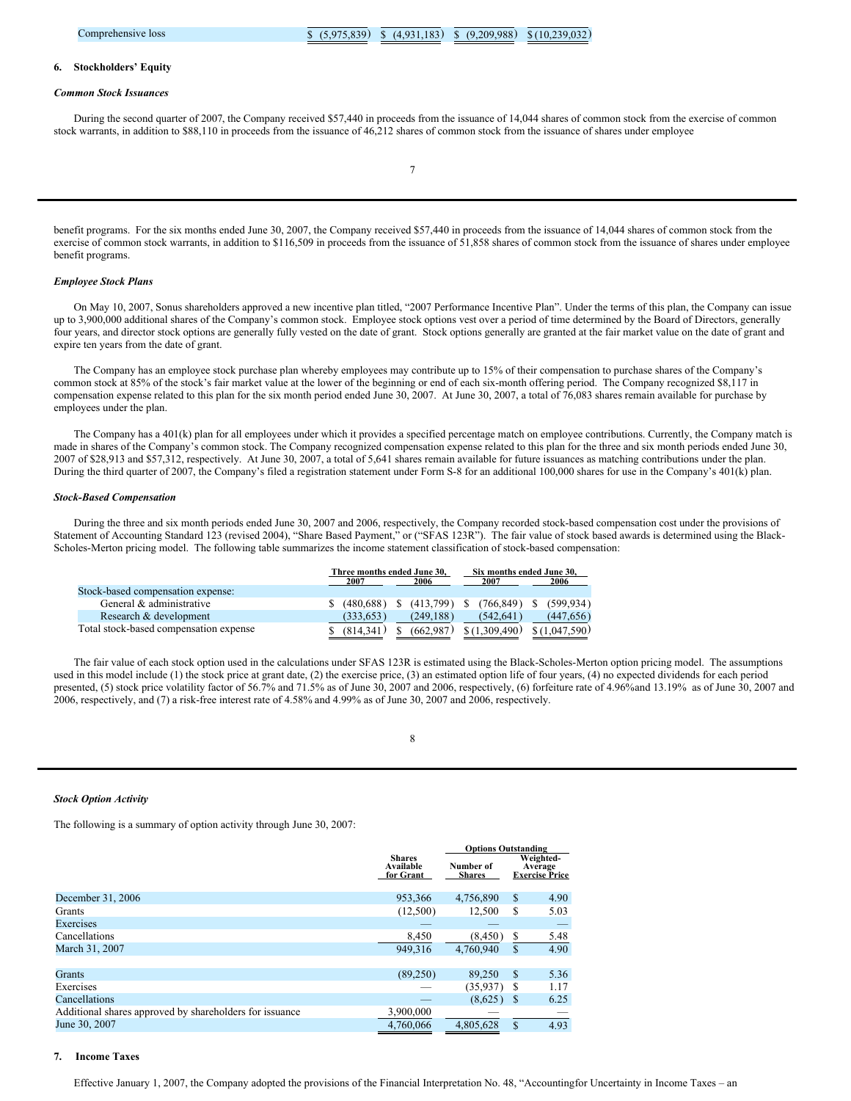Comprehensive loss \$ (5,975,839) \$ (4,931,183) \$ (9,209,988) \$ (10,239,032)

#### **6. Stockholders' Equity**

## *Common Stock Issuances*

During the second quarter of 2007, the Company received \$57,440 in proceeds from the issuance of 14,044 shares of common stock from the exercise of common stock warrants, in addition to \$88,110 in proceeds from the issuance of 46,212 shares of common stock from the issuance of shares under employee

benefit programs. For the six months ended June 30, 2007, the Company received \$57,440 in proceeds from the issuance of 14,044 shares of common stock from the exercise of common stock warrants, in addition to \$116,509 in proceeds from the issuance of 51,858 shares of common stock from the issuance of shares under employee benefit programs.

#### *Employee Stock Plans*

On May 10, 2007, Sonus shareholders approved a new incentive plan titled, "2007 Performance Incentive Plan". Under the terms of this plan, the Company can issue up to 3,900,000 additional shares of the Company's common stock. Employee stock options vest over a period of time determined by the Board of Directors, generally four years, and director stock options are generally fully vested on the date of grant. Stock options generally are granted at the fair market value on the date of grant and expire ten years from the date of grant.

The Company has an employee stock purchase plan whereby employees may contribute up to 15% of their compensation to purchase shares of the Company's common stock at 85% of the stock's fair market value at the lower of the beginning or end of each six-month offering period. The Company recognized \$8,117 in compensation expense related to this plan for the six month period ended June 30, 2007. At June 30, 2007, a total of 76,083 shares remain available for purchase by employees under the plan.

The Company has a 401(k) plan for all employees under which it provides a specified percentage match on employee contributions. Currently, the Company match is made in shares of the Company's common stock. The Company recognized compensation expense related to this plan for the three and six month periods ended June 30, 2007 of \$28,913 and \$57,312, respectively. At June 30, 2007, a total of 5,641 shares remain available for future issuances as matching contributions under the plan. During the third quarter of 2007, the Company's filed a registration statement under Form S-8 for an additional 100,000 shares for use in the Company's 401(k) plan.

#### *Stock-Based Compensation*

During the three and six month periods ended June 30, 2007 and 2006, respectively, the Company recorded stock-based compensation cost under the provisions of Statement of Accounting Standard 123 (revised 2004), "Share Based Payment," or ("SFAS 123R"). The fair value of stock based awards is determined using the Black-Scholes-Merton pricing model. The following table summarizes the income statement classification of stock-based compensation:

|                                        | Three months ended June 30. |  |           | Six months ended June 30. |               |      |               |
|----------------------------------------|-----------------------------|--|-----------|---------------------------|---------------|------|---------------|
|                                        | 2007<br>2006                |  | 2007      |                           |               | 2006 |               |
| Stock-based compensation expense:      |                             |  |           |                           |               |      |               |
| General & administrative               | (480.688)                   |  | (413.799) |                           | (766, 849)    | S    | (599.934)     |
| Research & development                 | (333.653)                   |  | (249.188) |                           | (542.641)     |      | (447.656)     |
| Total stock-based compensation expense | (814, 341)                  |  | (662.987) |                           | \$(1,309,490) |      | \$(1.047.590) |

The fair value of each stock option used in the calculations under SFAS 123R is estimated using the Black-Scholes-Merton option pricing model. The assumptions used in this model include (1) the stock price at grant date, (2) the exercise price, (3) an estimated option life of four years, (4) no expected dividends for each period presented, (5) stock price volatility factor of 56.7% and 71.5% as of June 30, 2007 and 2006, respectively, (6) forfeiture rate of 4.96% and 13.19% as of June 30, 2007 and 2006, respectively, and (7) a risk-free interest rate of 4.58% and 4.99% as of June 30, 2007 and 2006, respectively.

| I<br>I            |  |
|-------------------|--|
| ۱,<br>٦<br>×<br>v |  |

## *Stock Option Activity*

The following is a summary of option activity through June 30, 2007:

|                                                         |                                         | <b>Options Outstanding</b> |      |                                               |  |
|---------------------------------------------------------|-----------------------------------------|----------------------------|------|-----------------------------------------------|--|
|                                                         | <b>Shares</b><br>Available<br>for Grant | Number of<br><b>Shares</b> |      | Weighted-<br>Average<br><b>Exercise Price</b> |  |
| December 31, 2006                                       | 953,366                                 | 4,756,890                  | S    | 4.90                                          |  |
| Grants                                                  | (12,500)                                | 12.500                     | S    | 5.03                                          |  |
| Exercises                                               |                                         |                            |      |                                               |  |
| Cancellations                                           | 8,450                                   | (8, 450)                   | S    | 5.48                                          |  |
| March 31, 2007                                          | 949.316                                 | 4.760.940                  | \$   | 4.90                                          |  |
|                                                         |                                         |                            |      |                                               |  |
| <b>Grants</b>                                           | (89,250)                                | 89,250                     | S    | 5.36                                          |  |
| Exercises                                               |                                         | (35,937)                   | S    | 1.17                                          |  |
| Cancellations                                           |                                         | (8,625)                    | - \$ | 6.25                                          |  |
| Additional shares approved by shareholders for issuance | 3,900,000                               |                            |      |                                               |  |
| June 30, 2007                                           | 4.760.066                               | 4,805,628                  | \$   | 4.93                                          |  |
|                                                         |                                         |                            |      |                                               |  |

## **7. Income Taxes**

Effective January 1, 2007, the Company adopted the provisions of the Financial Interpretation No. 48, "Accountingfor Uncertainty in Income Taxes – an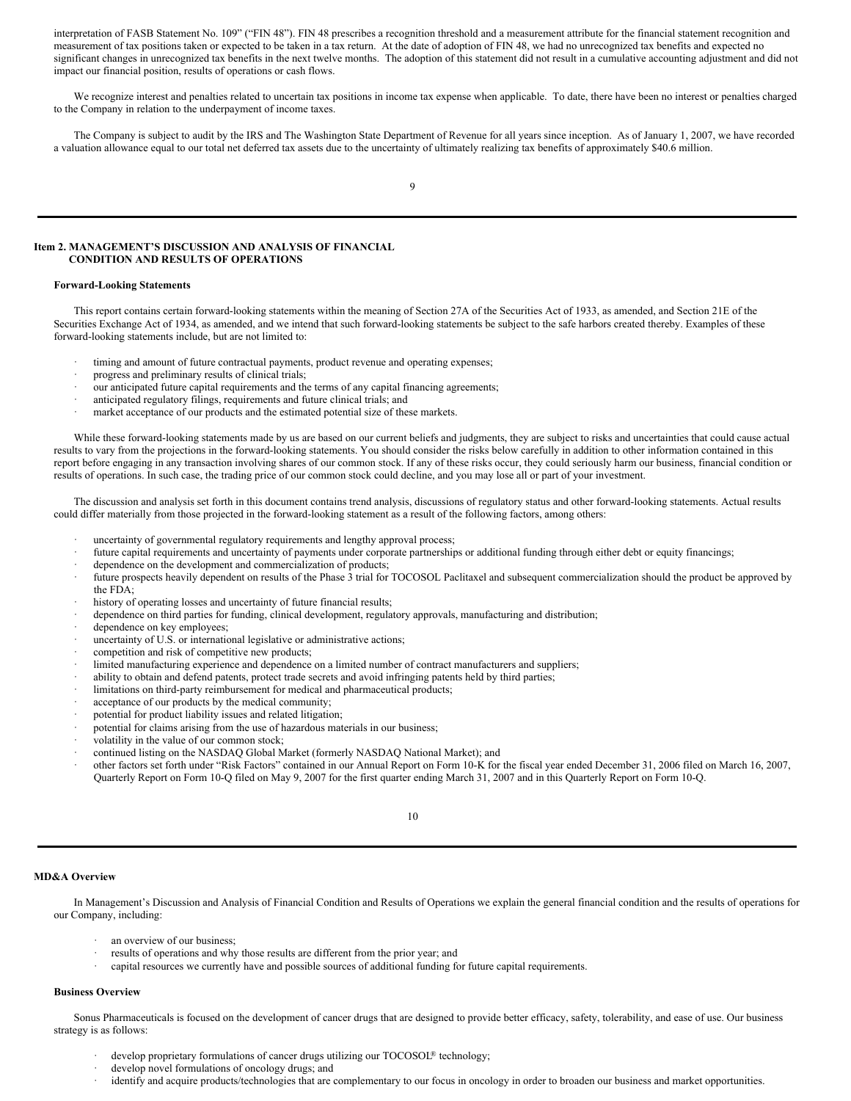interpretation of FASB Statement No. 109" ("FIN 48"). FIN 48 prescribes a recognition threshold and a measurement attribute for the financial statement recognition and measurement of tax positions taken or expected to be taken in a tax return. At the date of adoption of FIN 48, we had no unrecognized tax benefits and expected no significant changes in unrecognized tax benefits in the next twelve months. The adoption of this statement did not result in a cumulative accounting adjustment and did not impact our financial position, results of operations or cash flows.

We recognize interest and penalties related to uncertain tax positions in income tax expense when applicable. To date, there have been no interest or penalties charged to the Company in relation to the underpayment of income taxes.

The Company is subject to audit by the IRS and The Washington State Department of Revenue for all years since inception. As of January 1, 2007, we have recorded a valuation allowance equal to our total net deferred tax assets due to the uncertainty of ultimately realizing tax benefits of approximately \$40.6 million.

### **Item 2. MANAGEMENT'S DISCUSSION AND ANALYSIS OF FINANCIAL CONDITION AND RESULTS OF OPERATIONS**

#### <span id="page-5-0"></span>**Forward-Looking Statements**

This report contains certain forward-looking statements within the meaning of Section 27A of the Securities Act of 1933, as amended, and Section 21E of the Securities Exchange Act of 1934, as amended, and we intend that such forward-looking statements be subject to the safe harbors created thereby. Examples of these forward-looking statements include, but are not limited to:

- · timing and amount of future contractual payments, product revenue and operating expenses;
- progress and preliminary results of clinical trials;
- our anticipated future capital requirements and the terms of any capital financing agreements;
- anticipated regulatory filings, requirements and future clinical trials; and
- market acceptance of our products and the estimated potential size of these markets.

While these forward-looking statements made by us are based on our current beliefs and judgments, they are subject to risks and uncertainties that could cause actual results to vary from the projections in the forward-looking statements. You should consider the risks below carefully in addition to other information contained in this report before engaging in any transaction involving shares of our common stock. If any of these risks occur, they could seriously harm our business, financial condition or results of operations. In such case, the trading price of our common stock could decline, and you may lose all or part of your investment.

The discussion and analysis set forth in this document contains trend analysis, discussions of regulatory status and other forward-looking statements. Actual results could differ materially from those projected in the forward-looking statement as a result of the following factors, among others:

- uncertainty of governmental regulatory requirements and lengthy approval process;
- future capital requirements and uncertainty of payments under corporate partnerships or additional funding through either debt or equity financings;
- dependence on the development and commercialization of products;
- · future prospects heavily dependent on results of the Phase 3 trial for TOCOSOL Paclitaxel and subsequent commercialization should the product be approved by the FDA;
- history of operating losses and uncertainty of future financial results;
- dependence on third parties for funding, clinical development, regulatory approvals, manufacturing and distribution;
- dependence on key employees;
- uncertainty of U.S. or international legislative or administrative actions;
- competition and risk of competitive new products;
- limited manufacturing experience and dependence on a limited number of contract manufacturers and suppliers;
- ability to obtain and defend patents, protect trade secrets and avoid infringing patents held by third parties;
- limitations on third-party reimbursement for medical and pharmaceutical products;
- acceptance of our products by the medical community;
- potential for product liability issues and related litigation;
- potential for claims arising from the use of hazardous materials in our business;
- volatility in the value of our common stock;
- continued listing on the NASDAQ Global Market (formerly NASDAQ National Market); and
- · other factors set forth under "Risk Factors" contained in our Annual Report on Form 10-K for the fiscal year ended December 31, 2006 filed on March 16, 2007, Quarterly Report on Form 10-Q filed on May 9, 2007 for the first quarter ending March 31, 2007 and in this Quarterly Report on Form 10-Q.

10

## **MD&A Overview**

In Management's Discussion and Analysis of Financial Condition and Results of Operations we explain the general financial condition and the results of operations for our Company, including:

- an overview of our business:
- results of operations and why those results are different from the prior year; and
- · capital resources we currently have and possible sources of additional funding for future capital requirements.

#### **Business Overview**

Sonus Pharmaceuticals is focused on the development of cancer drugs that are designed to provide better efficacy, safety, tolerability, and ease of use. Our business strategy is as follows:

- $\cdot$  develop proprietary formulations of cancer drugs utilizing our TOCOSOL® technology;
- develop novel formulations of oncology drugs; and
- · identify and acquire products/technologies that are complementary to our focus in oncology in order to broaden our business and market opportunities.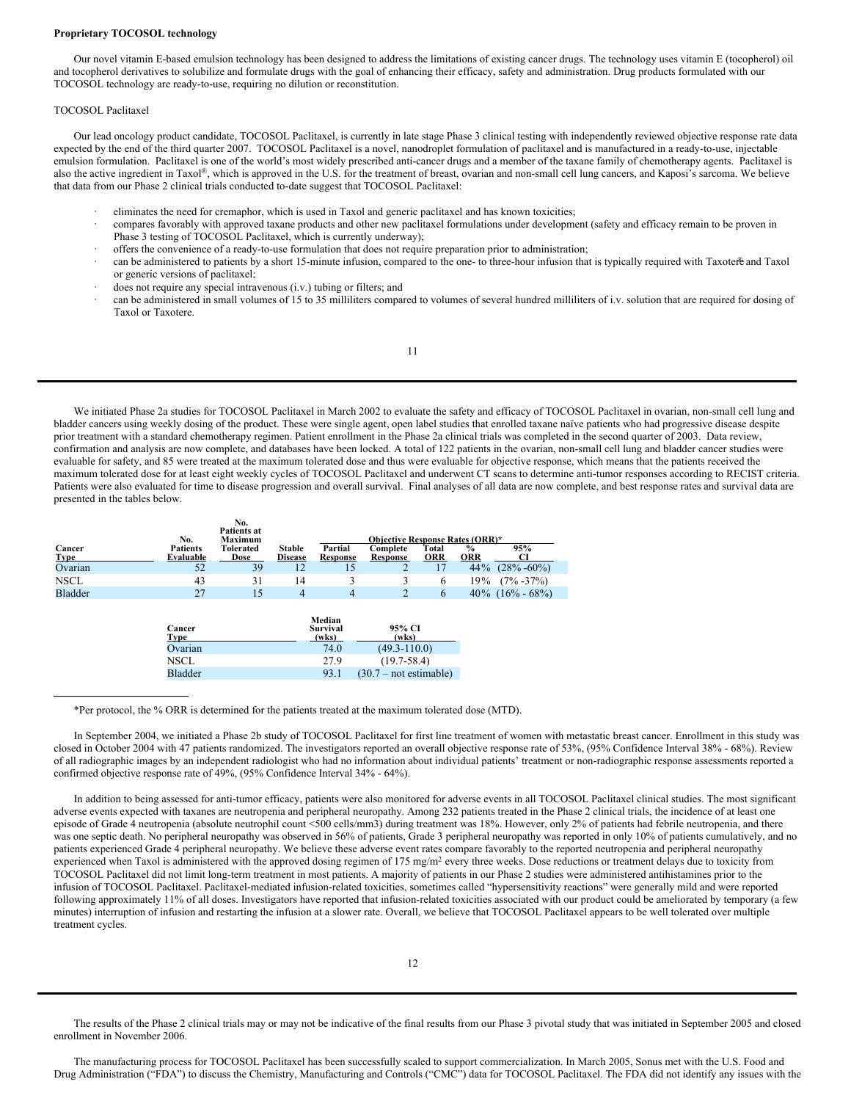#### **Proprietary TOCOSOL technology**

Our novel vitamin E-based emulsion technology has been designed to address the limitations of existing cancer drugs. The technology uses vitamin E (tocopherol) oil and tocopherol derivatives to solubilize and formulate drugs with the goal of enhancing their efficacy, safety and administration. Drug products formulated with our TOCOSOL technology are ready-to-use, requiring no dilution or reconstitution.

#### TOCOSOL Paclitaxel

Our lead oncology product candidate, TOCOSOL Paclitaxel, is currently in late stage Phase 3 clinical testing with independently reviewed objective response rate data expected by the end of the third quarter 2007. TOCOSOL Paclitaxel is a novel, nanodroplet formulation of paclitaxel and is manufactured in a ready-to-use, injectable emulsion formulation. Paclitaxel is one of the world's most widely prescribed anti-cancer drugs and a member of the taxane family of chemotherapy agents. Paclitaxel is also the active ingredient in Taxol®, which is approved in the U.S. for the treatment of breast, ovarian and non-small cell lung cancers, and Kaposi's sarcoma. We believe that data from our Phase 2 clinical trials conducted to-date suggest that TOCOSOL Paclitaxel:

- · eliminates the need for cremaphor, which is used in Taxol and generic paclitaxel and has known toxicities;
- · compares favorably with approved taxane products and other new paclitaxel formulations under development (safety and efficacy remain to be proven in Phase 3 testing of TOCOSOL Paclitaxel, which is currently underway);
- · offers the convenience of a ready-to-use formulation that does not require preparation prior to administration;
- · can be administered to patients by a short 15-minute infusion, compared to the one- to three-hour infusion that is typically required with Taxotere and Taxol ® or generic versions of paclitaxel;
- does not require any special intravenous (i.v.) tubing or filters; and
- can be administered in small volumes of 15 to 35 milliliters compared to volumes of several hundred milliliters of i.v. solution that are required for dosing of Taxol or Taxotere.

We initiated Phase 2a studies for TOCOSOL Paclitaxel in March 2002 to evaluate the safety and efficacy of TOCOSOL Paclitaxel in ovarian, non-small cell lung and bladder cancers using weekly dosing of the product. These were single agent, open label studies that enrolled taxane naïve patients who had progressive disease despite prior treatment with a standard chemotherapy regimen. Patient enrollment in the Phase 2a clinical trials was completed in the second quarter of 2003. Data review, confirmation and analysis are now complete, and databases have been locked. A total of 122 patients in the ovarian, non-small cell lung and bladder cancer studies were evaluable for safety, and 85 were treated at the maximum tolerated dose and thus were evaluable for objective response, which means that the patients received the maximum tolerated dose for at least eight weekly cycles of TOCOSOL Paclitaxel and underwent CT scans to determine anti-tumor responses according to RECIST criteria. Patients were also evaluated for time to disease progression and overall survival. Final analyses of all data are now complete, and best response rates and survival data are presented in the tables below.

|                       | No.                          | No.<br>Patients at<br>Maximum |                                 |                            | <b>Objective Response Rates (ORR)*</b> |              |                      |                        |
|-----------------------|------------------------------|-------------------------------|---------------------------------|----------------------------|----------------------------------------|--------------|----------------------|------------------------|
| Cancer<br><b>Type</b> | <b>Patients</b><br>Evaluable | <b>Tolerated</b><br>Dose      | <b>Stable</b><br><b>Disease</b> | Partial<br><b>Response</b> | Complete<br><b>Response</b>            | Total<br>ORR | $\frac{0}{0}$<br>ORR | 95%                    |
| Ovarian               |                              | 39                            |                                 |                            |                                        |              | 44%                  | $(28\% - 60\%)$        |
| <b>NSCL</b>           | 43                           | 31                            | 14                              |                            |                                        |              | 19%                  | $(7\% - 37\%)$         |
| <b>Bladder</b>        |                              |                               | 4                               |                            |                                        |              |                      | $40\%$ $(16\% - 68\%)$ |

| Cancer<br><b>Type</b> | Median<br>Survival<br>(wks) | 95% CI<br>(wks)         |
|-----------------------|-----------------------------|-------------------------|
| Ovarian               | 74.0                        | $(49.3 - 110.0)$        |
| NSCL                  | 27.9                        | $(19.7 - 58.4)$         |
| <b>Bladder</b>        | 93.1                        | $(30.7 - not estimate)$ |

\*Per protocol, the % ORR is determined for the patients treated at the maximum tolerated dose (MTD).

In September 2004, we initiated a Phase 2b study of TOCOSOL Paclitaxel for first line treatment of women with metastatic breast cancer. Enrollment in this study was closed in October 2004 with 47 patients randomized. The investigators reported an overall objective response rate of 53%, (95% Confidence Interval 38% - 68%). Review of all radiographic images by an independent radiologist who had no information about individual patients' treatment or non-radiographic response assessments reported a confirmed objective response rate of 49%, (95% Confidence Interval 34% - 64%).

In addition to being assessed for anti-tumor efficacy, patients were also monitored for adverse events in all TOCOSOL Paclitaxel clinical studies. The most significant adverse events expected with taxanes are neutropenia and peripheral neuropathy. Among 232 patients treated in the Phase 2 clinical trials, the incidence of at least one episode of Grade 4 neutropenia (absolute neutrophil count <500 cells/mm3) during treatment was 18%. However, only 2% of patients had febrile neutropenia, and there was one septic death. No peripheral neuropathy was observed in 56% of patients, Grade 3 peripheral neuropathy was reported in only 10% of patients cumulatively, and no patients experienced Grade 4 peripheral neuropathy. We believe these adverse event rates compare favorably to the reported neutropenia and peripheral neuropathy experienced when Taxol is administered with the approved dosing regimen of 175 mg/m<sup>2</sup> every three weeks. Dose reductions or treatment delays due to toxicity from TOCOSOL Paclitaxel did not limit long-term treatment in most patients. A majority of patients in our Phase 2 studies were administered antihistamines prior to the infusion of TOCOSOL Paclitaxel. Paclitaxel-mediated infusion-related toxicities, sometimes called "hypersensitivity reactions" were generally mild and were reported following approximately 11% of all doses. Investigators have reported that infusion-related toxicities associated with our product could be ameliorated by temporary (a few minutes) interruption of infusion and restarting the infusion at a slower rate. Overall, we believe that TOCOSOL Paclitaxel appears to be well tolerated over multiple treatment cycles.

The results of the Phase 2 clinical trials may or may not be indicative of the final results from our Phase 3 pivotal study that was initiated in September 2005 and closed enrollment in November 2006.

The manufacturing process for TOCOSOL Paclitaxel has been successfully scaled to support commercialization. In March 2005, Sonus met with the U.S. Food and Drug Administration ("FDA") to discuss the Chemistry, Manufacturing and Controls ("CMC") data for TOCOSOL Paclitaxel. The FDA did not identify any issues with the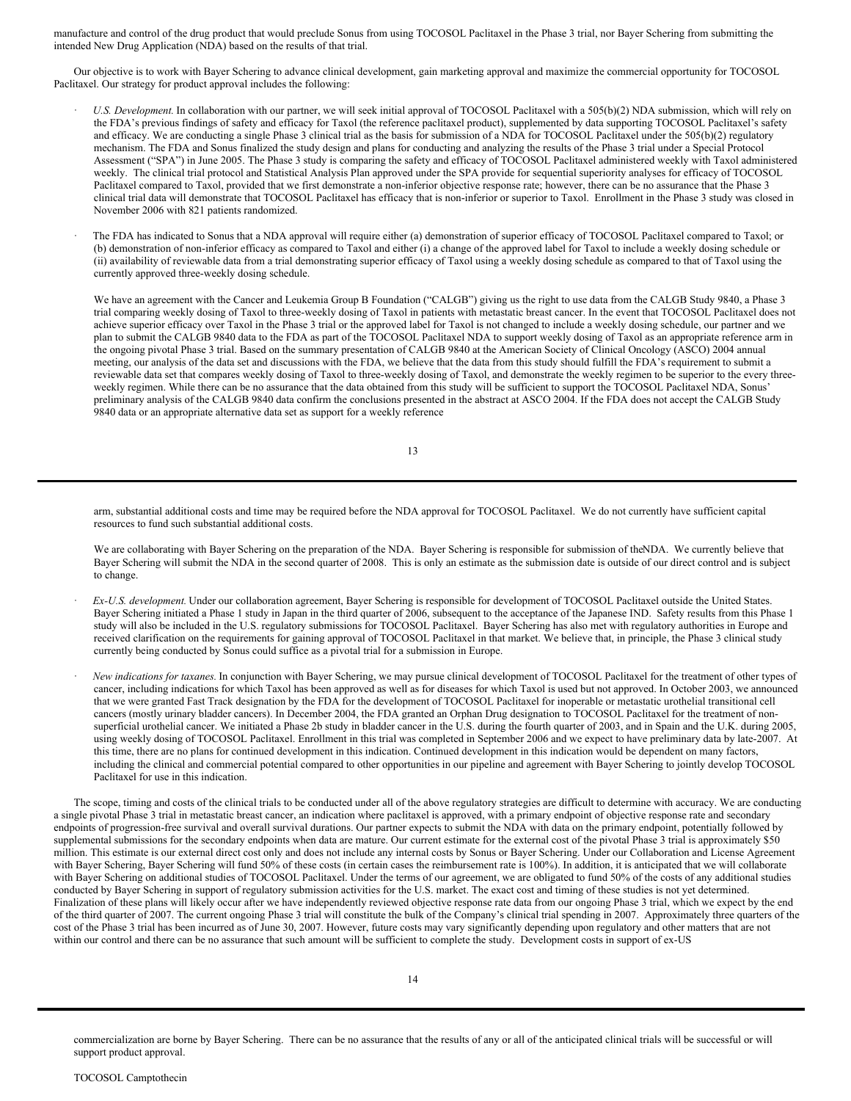manufacture and control of the drug product that would preclude Sonus from using TOCOSOL Paclitaxel in the Phase 3 trial, nor Bayer Schering from submitting the intended New Drug Application (NDA) based on the results of that trial.

Our objective is to work with Bayer Schering to advance clinical development, gain marketing approval and maximize the commercial opportunity for TOCOSOL Paclitaxel. Our strategy for product approval includes the following:

- U.S. Development. In collaboration with our partner, we will seek initial approval of TOCOSOL Paclitaxel with a 505(b)(2) NDA submission, which will rely on the FDA's previous findings of safety and efficacy for Taxol (the reference paclitaxel product), supplemented by data supporting TOCOSOL Paclitaxel's safety and efficacy. We are conducting a single Phase 3 clinical trial as the basis for submission of a NDA for TOCOSOL Paclitaxel under the 505(b)(2) regulatory mechanism. The FDA and Sonus finalized the study design and plans for conducting and analyzing the results of the Phase 3 trial under a Special Protocol Assessment ("SPA") in June 2005. The Phase 3 study is comparing the safety and efficacy of TOCOSOL Paclitaxel administered weekly with Taxol administered weekly. The clinical trial protocol and Statistical Analysis Plan approved under the SPA provide for sequential superiority analyses for efficacy of TOCOSOL Paclitaxel compared to Taxol, provided that we first demonstrate a non-inferior objective response rate; however, there can be no assurance that the Phase 3 clinical trial data will demonstrate that TOCOSOL Paclitaxel has efficacy that is non-inferior or superior to Taxol. Enrollment in the Phase 3 study was closed in November 2006 with 821 patients randomized.
- The FDA has indicated to Sonus that a NDA approval will require either (a) demonstration of superior efficacy of TOCOSOL Paclitaxel compared to Taxol; or (b) demonstration of non-inferior efficacy as compared to Taxol and either (i) a change of the approved label for Taxol to include a weekly dosing schedule or (ii) availability of reviewable data from a trial demonstrating superior efficacy of Taxol using a weekly dosing schedule as compared to that of Taxol using the currently approved three-weekly dosing schedule.

We have an agreement with the Cancer and Leukemia Group B Foundation ("CALGB") giving us the right to use data from the CALGB Study 9840, a Phase 3 trial comparing weekly dosing of Taxol to three-weekly dosing of Taxol in patients with metastatic breast cancer. In the event that TOCOSOL Paclitaxel does not achieve superior efficacy over Taxol in the Phase 3 trial or the approved label for Taxol is not changed to include a weekly dosing schedule, our partner and we plan to submit the CALGB 9840 data to the FDA as part of the TOCOSOL Paclitaxel NDA to support weekly dosing of Taxol as an appropriate reference arm in the ongoing pivotal Phase 3 trial. Based on the summary presentation of CALGB 9840 at the American Society of Clinical Oncology (ASCO) 2004 annual meeting, our analysis of the data set and discussions with the FDA, we believe that the data from this study should fulfill the FDA's requirement to submit a reviewable data set that compares weekly dosing of Taxol to three-weekly dosing of Taxol, and demonstrate the weekly regimen to be superior to the every threeweekly regimen. While there can be no assurance that the data obtained from this study will be sufficient to support the TOCOSOL Paclitaxel NDA, Sonus' preliminary analysis of the CALGB 9840 data confirm the conclusions presented in the abstract at ASCO 2004. If the FDA does not accept the CALGB Study 9840 data or an appropriate alternative data set as support for a weekly reference

13

arm, substantial additional costs and time may be required before the NDA approval for TOCOSOL Paclitaxel. We do not currently have sufficient capital resources to fund such substantial additional costs.

We are collaborating with Bayer Schering on the preparation of the NDA. Bayer Schering is responsible for submission of theNDA. We currently believe that Bayer Schering will submit the NDA in the second quarter of 2008. This is only an estimate as the submission date is outside of our direct control and is subject to change.

- · *Ex-U.S. development.* Under our collaboration agreement, Bayer Schering is responsible for development of TOCOSOL Paclitaxel outside the United States. Bayer Schering initiated a Phase 1 study in Japan in the third quarter of 2006, subsequent to the acceptance of the Japanese IND. Safety results from this Phase 1 study will also be included in the U.S. regulatory submissions for TOCOSOL Paclitaxel. Bayer Schering has also met with regulatory authorities in Europe and received clarification on the requirements for gaining approval of TOCOSOL Paclitaxel in that market. We believe that, in principle, the Phase 3 clinical study currently being conducted by Sonus could suffice as a pivotal trial for a submission in Europe.
- · *New indications for taxanes.* In conjunction with Bayer Schering, we may pursue clinical development of TOCOSOL Paclitaxel for the treatment of other types of cancer, including indications for which Taxol has been approved as well as for diseases for which Taxol is used but not approved. In October 2003, we announced that we were granted Fast Track designation by the FDA for the development of TOCOSOL Paclitaxel for inoperable or metastatic urothelial transitional cell cancers (mostly urinary bladder cancers). In December 2004, the FDA granted an Orphan Drug designation to TOCOSOL Paclitaxel for the treatment of nonsuperficial urothelial cancer. We initiated a Phase 2b study in bladder cancer in the U.S. during the fourth quarter of 2003, and in Spain and the U.K. during 2005, using weekly dosing of TOCOSOL Paclitaxel. Enrollment in this trial was completed in September 2006 and we expect to have preliminary data by late-2007. At this time, there are no plans for continued development in this indication. Continued development in this indication would be dependent on many factors, including the clinical and commercial potential compared to other opportunities in our pipeline and agreement with Bayer Schering to jointly develop TOCOSOL Paclitaxel for use in this indication.

The scope, timing and costs of the clinical trials to be conducted under all of the above regulatory strategies are difficult to determine with accuracy. We are conducting a single pivotal Phase 3 trial in metastatic breast cancer, an indication where paclitaxel is approved, with a primary endpoint of objective response rate and secondary endpoints of progression-free survival and overall survival durations. Our partner expects to submit the NDA with data on the primary endpoint, potentially followed by supplemental submissions for the secondary endpoints when data are mature. Our current estimate for the external cost of the pivotal Phase 3 trial is approximately \$50 million. This estimate is our external direct cost only and does not include any internal costs by Sonus or Bayer Schering. Under our Collaboration and License Agreement with Bayer Schering, Bayer Schering will fund 50% of these costs (in certain cases the reimbursement rate is 100%). In addition, it is anticipated that we will collaborate with Bayer Schering on additional studies of TOCOSOL Paclitaxel. Under the terms of our agreement, we are obligated to fund 50% of the costs of any additional studies conducted by Bayer Schering in support of regulatory submission activities for the U.S. market. The exact cost and timing of these studies is not yet determined. Finalization of these plans will likely occur after we have independently reviewed objective response rate data from our ongoing Phase 3 trial, which we expect by the end of the third quarter of 2007. The current ongoing Phase 3 trial will constitute the bulk of the Company's clinical trial spending in 2007. Approximately three quarters of the cost of the Phase 3 trial has been incurred as of June 30, 2007. However, future costs may vary significantly depending upon regulatory and other matters that are not within our control and there can be no assurance that such amount will be sufficient to complete the study. Development costs in support of ex-US

commercialization are borne by Bayer Schering. There can be no assurance that the results of any or all of the anticipated clinical trials will be successful or will support product approval.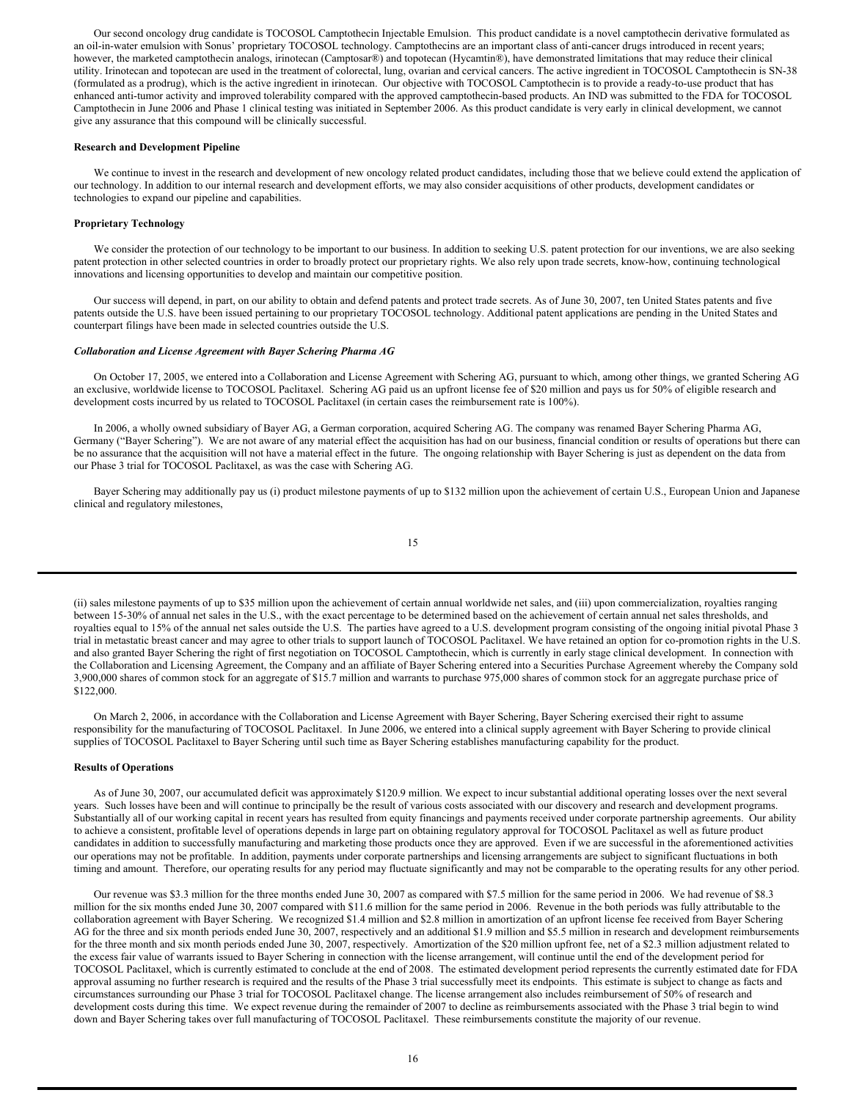Our second oncology drug candidate is TOCOSOL Camptothecin Injectable Emulsion. This product candidate is a novel camptothecin derivative formulated as an oil-in-water emulsion with Sonus' proprietary TOCOSOL technology. Camptothecins are an important class of anti-cancer drugs introduced in recent years; however, the marketed camptothecin analogs, irinotecan (Camptosar®) and topotecan (Hycamtin®), have demonstrated limitations that may reduce their clinical utility. Irinotecan and topotecan are used in the treatment of colorectal, lung, ovarian and cervical cancers. The active ingredient in TOCOSOL Camptothecin is SN-38 (formulated as a prodrug), which is the active ingredient in irinotecan. Our objective with TOCOSOL Camptothecin is to provide a ready-to-use product that has enhanced anti-tumor activity and improved tolerability compared with the approved camptothecin-based products. An IND was submitted to the FDA for TOCOSOL Camptothecin in June 2006 and Phase 1 clinical testing was initiated in September 2006. As this product candidate is very early in clinical development, we cannot give any assurance that this compound will be clinically successful.

#### **Research and Development Pipeline**

We continue to invest in the research and development of new oncology related product candidates, including those that we believe could extend the application of our technology. In addition to our internal research and development efforts, we may also consider acquisitions of other products, development candidates or technologies to expand our pipeline and capabilities.

#### **Proprietary Technology**

We consider the protection of our technology to be important to our business. In addition to seeking U.S. patent protection for our inventions, we are also seeking patent protection in other selected countries in order to broadly protect our proprietary rights. We also rely upon trade secrets, know-how, continuing technological innovations and licensing opportunities to develop and maintain our competitive position.

Our success will depend, in part, on our ability to obtain and defend patents and protect trade secrets. As of June 30, 2007, ten United States patents and five patents outside the U.S. have been issued pertaining to our proprietary TOCOSOL technology. Additional patent applications are pending in the United States and counterpart filings have been made in selected countries outside the U.S.

#### *Collaboration and License Agreement with Bayer Schering Pharma AG*

On October 17, 2005, we entered into a Collaboration and License Agreement with Schering AG, pursuant to which, among other things, we granted Schering AG an exclusive, worldwide license to TOCOSOL Paclitaxel. Schering AG paid us an upfront license fee of \$20 million and pays us for 50% of eligible research and development costs incurred by us related to TOCOSOL Paclitaxel (in certain cases the reimbursement rate is 100%).

In 2006, a wholly owned subsidiary of Bayer AG, a German corporation, acquired Schering AG. The company was renamed Bayer Schering Pharma AG, Germany ("Bayer Schering"). We are not aware of any material effect the acquisition has had on our business, financial condition or results of operations but there can be no assurance that the acquisition will not have a material effect in the future. The ongoing relationship with Bayer Schering is just as dependent on the data from our Phase 3 trial for TOCOSOL Paclitaxel, as was the case with Schering AG.

Bayer Schering may additionally pay us (i) product milestone payments of up to \$132 million upon the achievement of certain U.S., European Union and Japanese clinical and regulatory milestones,

15

(ii) sales milestone payments of up to \$35 million upon the achievement of certain annual worldwide net sales, and (iii) upon commercialization, royalties ranging between 15-30% of annual net sales in the U.S., with the exact percentage to be determined based on the achievement of certain annual net sales thresholds, and royalties equal to 15% of the annual net sales outside the U.S. The parties have agreed to a U.S. development program consisting of the ongoing initial pivotal Phase 3 trial in metastatic breast cancer and may agree to other trials to support launch of TOCOSOL Paclitaxel. We have retained an option for co-promotion rights in the U.S. and also granted Bayer Schering the right of first negotiation on TOCOSOL Camptothecin, which is currently in early stage clinical development. In connection with the Collaboration and Licensing Agreement, the Company and an affiliate of Bayer Schering entered into a Securities Purchase Agreement whereby the Company sold 3,900,000 shares of common stock for an aggregate of \$15.7 million and warrants to purchase 975,000 shares of common stock for an aggregate purchase price of \$122,000.

On March 2, 2006, in accordance with the Collaboration and License Agreement with Bayer Schering, Bayer Schering exercised their right to assume responsibility for the manufacturing of TOCOSOL Paclitaxel. In June 2006, we entered into a clinical supply agreement with Bayer Schering to provide clinical supplies of TOCOSOL Paclitaxel to Bayer Schering until such time as Bayer Schering establishes manufacturing capability for the product.

## **Results of Operations**

As of June 30, 2007, our accumulated deficit was approximately \$120.9 million. We expect to incur substantial additional operating losses over the next several years. Such losses have been and will continue to principally be the result of various costs associated with our discovery and research and development programs. Substantially all of our working capital in recent years has resulted from equity financings and payments received under corporate partnership agreements. Our ability to achieve a consistent, profitable level of operations depends in large part on obtaining regulatory approval for TOCOSOL Paclitaxel as well as future product candidates in addition to successfully manufacturing and marketing those products once they are approved. Even if we are successful in the aforementioned activities our operations may not be profitable. In addition, payments under corporate partnerships and licensing arrangements are subject to significant fluctuations in both timing and amount. Therefore, our operating results for any period may fluctuate significantly and may not be comparable to the operating results for any other period.

Our revenue was \$3.3 million for the three months ended June 30, 2007 as compared with \$7.5 million for the same period in 2006. We had revenue of \$8.3 million for the six months ended June 30, 2007 compared with \$11.6 million for the same period in 2006. Revenue in the both periods was fully attributable to the collaboration agreement with Bayer Schering. We recognized \$1.4 million and \$2.8 million in amortization of an upfront license fee received from Bayer Schering AG for the three and six month periods ended June 30, 2007, respectively and an additional \$1.9 million and \$5.5 million in research and development reimbursements for the three month and six month periods ended June 30, 2007, respectively. Amortization of the \$20 million upfront fee, net of a \$2.3 million adjustment related to the excess fair value of warrants issued to Bayer Schering in connection with the license arrangement, will continue until the end of the development period for TOCOSOL Paclitaxel, which is currently estimated to conclude at the end of 2008. The estimated development period represents the currently estimated date for FDA approval assuming no further research is required and the results of the Phase 3 trial successfully meet its endpoints. This estimate is subject to change as facts and circumstances surrounding our Phase 3 trial for TOCOSOL Paclitaxel change. The license arrangement also includes reimbursement of 50% of research and development costs during this time. We expect revenue during the remainder of 2007 to decline as reimbursements associated with the Phase 3 trial begin to wind down and Bayer Schering takes over full manufacturing of TOCOSOL Paclitaxel. These reimbursements constitute the majority of our revenue.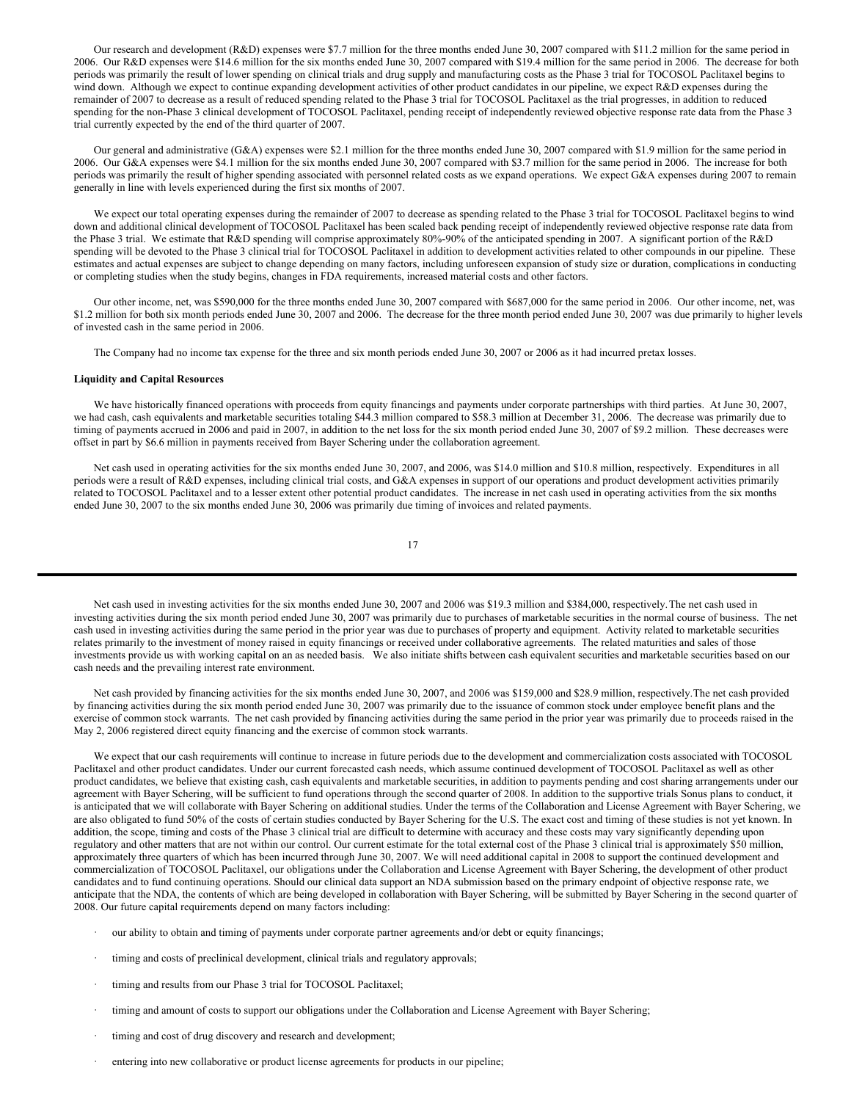Our research and development (R&D) expenses were \$7.7 million for the three months ended June 30, 2007 compared with \$11.2 million for the same period in 2006. Our R&D expenses were \$14.6 million for the six months ended June 30, 2007 compared with \$19.4 million for the same period in 2006. The decrease for both periods was primarily the result of lower spending on clinical trials and drug supply and manufacturing costs as the Phase 3 trial for TOCOSOL Paclitaxel begins to wind down. Although we expect to continue expanding development activities of other product candidates in our pipeline, we expect R&D expenses during the remainder of 2007 to decrease as a result of reduced spending related to the Phase 3 trial for TOCOSOL Paclitaxel as the trial progresses, in addition to reduced spending for the non-Phase 3 clinical development of TOCOSOL Paclitaxel, pending receipt of independently reviewed objective response rate data from the Phase 3 trial currently expected by the end of the third quarter of 2007.

Our general and administrative (G&A) expenses were \$2.1 million for the three months ended June 30, 2007 compared with \$1.9 million for the same period in 2006. Our G&A expenses were \$4.1 million for the six months ended June 30, 2007 compared with \$3.7 million for the same period in 2006. The increase for both periods was primarily the result of higher spending associated with personnel related costs as we expand operations. We expect G&A expenses during 2007 to remain generally in line with levels experienced during the first six months of 2007.

We expect our total operating expenses during the remainder of 2007 to decrease as spending related to the Phase 3 trial for TOCOSOL Paclitaxel begins to wind down and additional clinical development of TOCOSOL Paclitaxel has been scaled back pending receipt of independently reviewed objective response rate data from the Phase 3 trial. We estimate that R&D spending will comprise approximately 80%-90% of the anticipated spending in 2007. A significant portion of the R&D spending will be devoted to the Phase 3 clinical trial for TOCOSOL Paclitaxel in addition to development activities related to other compounds in our pipeline. These estimates and actual expenses are subject to change depending on many factors, including unforeseen expansion of study size or duration, complications in conducting or completing studies when the study begins, changes in FDA requirements, increased material costs and other factors.

Our other income, net, was \$590,000 for the three months ended June 30, 2007 compared with \$687,000 for the same period in 2006. Our other income, net, was \$1.2 million for both six month periods ended June 30, 2007 and 2006. The decrease for the three month period ended June 30, 2007 was due primarily to higher levels of invested cash in the same period in 2006.

The Company had no income tax expense for the three and six month periods ended June 30, 2007 or 2006 as it had incurred pretax losses.

#### **Liquidity and Capital Resources**

We have historically financed operations with proceeds from equity financings and payments under corporate partnerships with third parties. At June 30, 2007, we had cash, cash equivalents and marketable securities totaling \$44.3 million compared to \$58.3 million at December 31, 2006. The decrease was primarily due to timing of payments accrued in 2006 and paid in 2007, in addition to the net loss for the six month period ended June 30, 2007 of \$9.2 million. These decreases were offset in part by \$6.6 million in payments received from Bayer Schering under the collaboration agreement.

Net cash used in operating activities for the six months ended June 30, 2007, and 2006, was \$14.0 million and \$10.8 million, respectively. Expenditures in all periods were a result of R&D expenses, including clinical trial costs, and G&A expenses in support of our operations and product development activities primarily related to TOCOSOL Paclitaxel and to a lesser extent other potential product candidates. The increase in net cash used in operating activities from the six months ended June 30, 2007 to the six months ended June 30, 2006 was primarily due timing of invoices and related payments.

Net cash used in investing activities for the six months ended June 30, 2007 and 2006 was \$19.3 million and \$384,000, respectively.The net cash used in investing activities during the six month period ended June 30, 2007 was primarily due to purchases of marketable securities in the normal course of business. The net cash used in investing activities during the same period in the prior year was due to purchases of property and equipment. Activity related to marketable securities relates primarily to the investment of money raised in equity financings or received under collaborative agreements. The related maturities and sales of those investments provide us with working capital on an as needed basis. We also initiate shifts between cash equivalent securities and marketable securities based on our cash needs and the prevailing interest rate environment.

Net cash provided by financing activities for the six months ended June 30, 2007, and 2006 was \$159,000 and \$28.9 million, respectively.The net cash provided by financing activities during the six month period ended June 30, 2007 was primarily due to the issuance of common stock under employee benefit plans and the exercise of common stock warrants. The net cash provided by financing activities during the same period in the prior year was primarily due to proceeds raised in the May 2, 2006 registered direct equity financing and the exercise of common stock warrants.

We expect that our cash requirements will continue to increase in future periods due to the development and commercialization costs associated with TOCOSOL Paclitaxel and other product candidates. Under our current forecasted cash needs, which assume continued development of TOCOSOL Paclitaxel as well as other product candidates, we believe that existing cash, cash equivalents and marketable securities, in addition to payments pending and cost sharing arrangements under our agreement with Bayer Schering, will be sufficient to fund operations through the second quarter of 2008. In addition to the supportive trials Sonus plans to conduct, it is anticipated that we will collaborate with Bayer Schering on additional studies. Under the terms of the Collaboration and License Agreement with Bayer Schering, we are also obligated to fund 50% of the costs of certain studies conducted by Bayer Schering for the U.S. The exact cost and timing of these studies is not yet known. In addition, the scope, timing and costs of the Phase 3 clinical trial are difficult to determine with accuracy and these costs may vary significantly depending upon regulatory and other matters that are not within our control. Our current estimate for the total external cost of the Phase 3 clinical trial is approximately \$50 million, approximately three quarters of which has been incurred through June 30, 2007. We will need additional capital in 2008 to support the continued development and commercialization of TOCOSOL Paclitaxel, our obligations under the Collaboration and License Agreement with Bayer Schering, the development of other product candidates and to fund continuing operations. Should our clinical data support an NDA submission based on the primary endpoint of objective response rate, we anticipate that the NDA, the contents of which are being developed in collaboration with Bayer Schering, will be submitted by Bayer Schering in the second quarter of 2008. Our future capital requirements depend on many factors including:

- our ability to obtain and timing of payments under corporate partner agreements and/or debt or equity financings;
- timing and costs of preclinical development, clinical trials and regulatory approvals;
- · timing and results from our Phase 3 trial for TOCOSOL Paclitaxel;
- timing and amount of costs to support our obligations under the Collaboration and License Agreement with Bayer Schering;
- timing and cost of drug discovery and research and development;
- entering into new collaborative or product license agreements for products in our pipeline;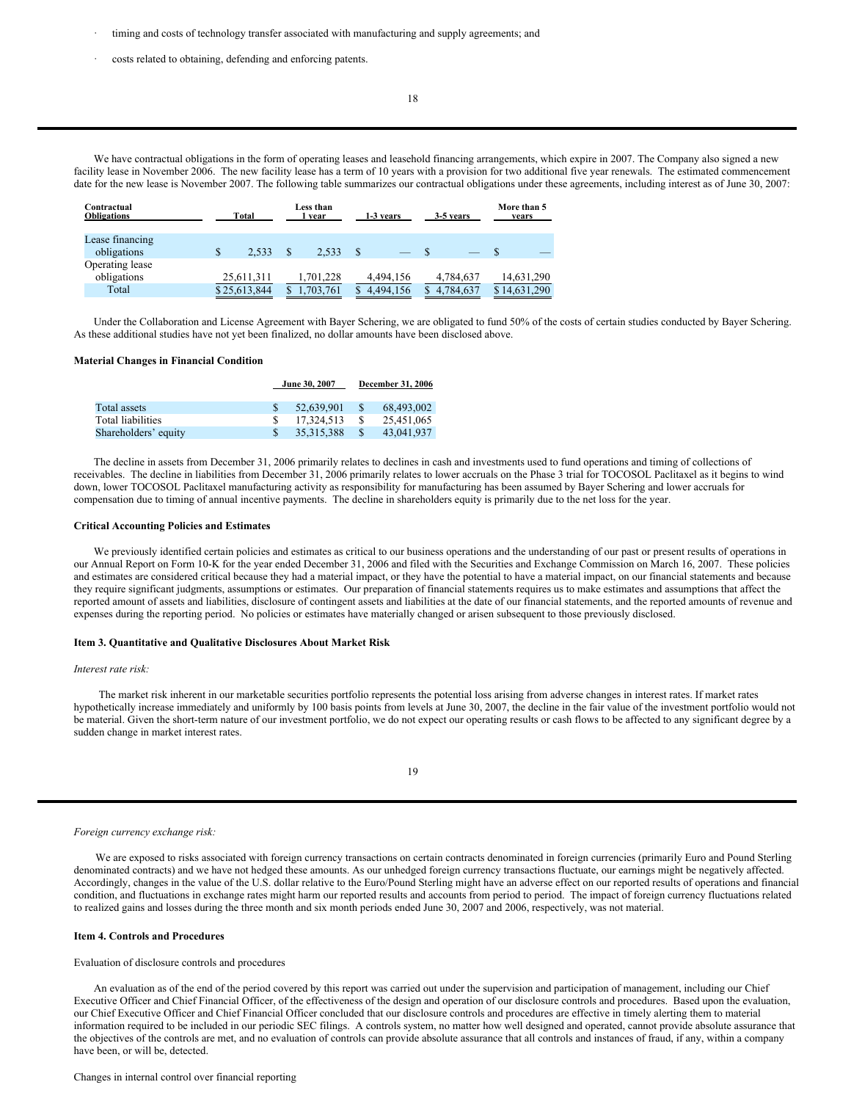- timing and costs of technology transfer associated with manufacturing and supply agreements; and
- costs related to obtaining, defending and enforcing patents.

| ◡ |
|---|
|   |
|   |

We have contractual obligations in the form of operating leases and leasehold financing arrangements, which expire in 2007. The Company also signed a new facility lease in November 2006. The new facility lease has a term of 10 years with a provision for two additional five year renewals. The estimated commencement date for the new lease is November 2007. The following table summarizes our contractual obligations under these agreements, including interest as of June 30, 2007:

| Contractual<br><b>Obligations</b> | Total        |   | Less than<br>1 vear | 1-3 years |    | 3-5 years | More than 5<br>vears |  |
|-----------------------------------|--------------|---|---------------------|-----------|----|-----------|----------------------|--|
| Lease financing<br>obligations    | 2.533        | S | 2.533               | –         |    | —         |                      |  |
| Operating lease<br>obligations    | 25,611,311   |   | 1.701.228           | 4,494,156 |    | 4,784,637 | 14,631,290           |  |
| Total                             | \$25,613,844 |   | .703.761            | 4.494.156 | S. | 4,784,637 | \$14,631,290         |  |

Under the Collaboration and License Agreement with Bayer Schering, we are obligated to fund 50% of the costs of certain studies conducted by Bayer Schering. As these additional studies have not yet been finalized, no dollar amounts have been disclosed above.

#### **Material Changes in Financial Condition**

|                      | June 30, 2007 | December 31, 2006 |            |  |
|----------------------|---------------|-------------------|------------|--|
| Total assets         | 52,639,901    | <sup>S</sup>      | 68.493.002 |  |
| Total liabilities    | 17.324.513    |                   | 25.451.065 |  |
| Shareholders' equity | 35.315.388    |                   | 43,041,937 |  |

The decline in assets from December 31, 2006 primarily relates to declines in cash and investments used to fund operations and timing of collections of receivables. The decline in liabilities from December 31, 2006 primarily relates to lower accruals on the Phase 3 trial for TOCOSOL Paclitaxel as it begins to wind down, lower TOCOSOL Paclitaxel manufacturing activity as responsibility for manufacturing has been assumed by Bayer Schering and lower accruals for compensation due to timing of annual incentive payments. The decline in shareholders equity is primarily due to the net loss for the year.

#### **Critical Accounting Policies and Estimates**

We previously identified certain policies and estimates as critical to our business operations and the understanding of our past or present results of operations in our Annual Report on Form 10-K for the year ended December 31, 2006 and filed with the Securities and Exchange Commission on March 16, 2007. These policies and estimates are considered critical because they had a material impact, or they have the potential to have a material impact, on our financial statements and because they require significant judgments, assumptions or estimates. Our preparation of financial statements requires us to make estimates and assumptions that affect the reported amount of assets and liabilities, disclosure of contingent assets and liabilities at the date of our financial statements, and the reported amounts of revenue and expenses during the reporting period. No policies or estimates have materially changed or arisen subsequent to those previously disclosed.

## **Item 3. Quantitative and Qualitative Disclosures About Market Risk**

#### *Interest rate risk:*

The market risk inherent in our marketable securities portfolio represents the potential loss arising from adverse changes in interest rates. If market rates hypothetically increase immediately and uniformly by 100 basis points from levels at June 30, 2007, the decline in the fair value of the investment portfolio would not be material. Given the short-term nature of our investment portfolio, we do not expect our operating results or cash flows to be affected to any significant degree by a sudden change in market interest rates.

<span id="page-10-0"></span>

| I<br>۰.       |
|---------------|
| ۰.<br>۰,<br>٧ |

#### *Foreign currency exchange risk:*

We are exposed to risks associated with foreign currency transactions on certain contracts denominated in foreign currencies (primarily Euro and Pound Sterling denominated contracts) and we have not hedged these amounts. As our unhedged foreign currency transactions fluctuate, our earnings might be negatively affected. Accordingly, changes in the value of the U.S. dollar relative to the Euro/Pound Sterling might have an adverse effect on our reported results of operations and financial condition, and fluctuations in exchange rates might harm our reported results and accounts from period to period. The impact of foreign currency fluctuations related to realized gains and losses during the three month and six month periods ended June 30, 2007 and 2006, respectively, was not material.

# <span id="page-10-1"></span>**Item 4. Controls and Procedures**

# Evaluation of disclosure controls and procedures

An evaluation as of the end of the period covered by this report was carried out under the supervision and participation of management, including our Chief Executive Officer and Chief Financial Officer, of the effectiveness of the design and operation of our disclosure controls and procedures. Based upon the evaluation, our Chief Executive Officer and Chief Financial Officer concluded that our disclosure controls and procedures are effective in timely alerting them to material information required to be included in our periodic SEC filings. A controls system, no matter how well designed and operated, cannot provide absolute assurance that the objectives of the controls are met, and no evaluation of controls can provide absolute assurance that all controls and instances of fraud, if any, within a company have been, or will be, detected.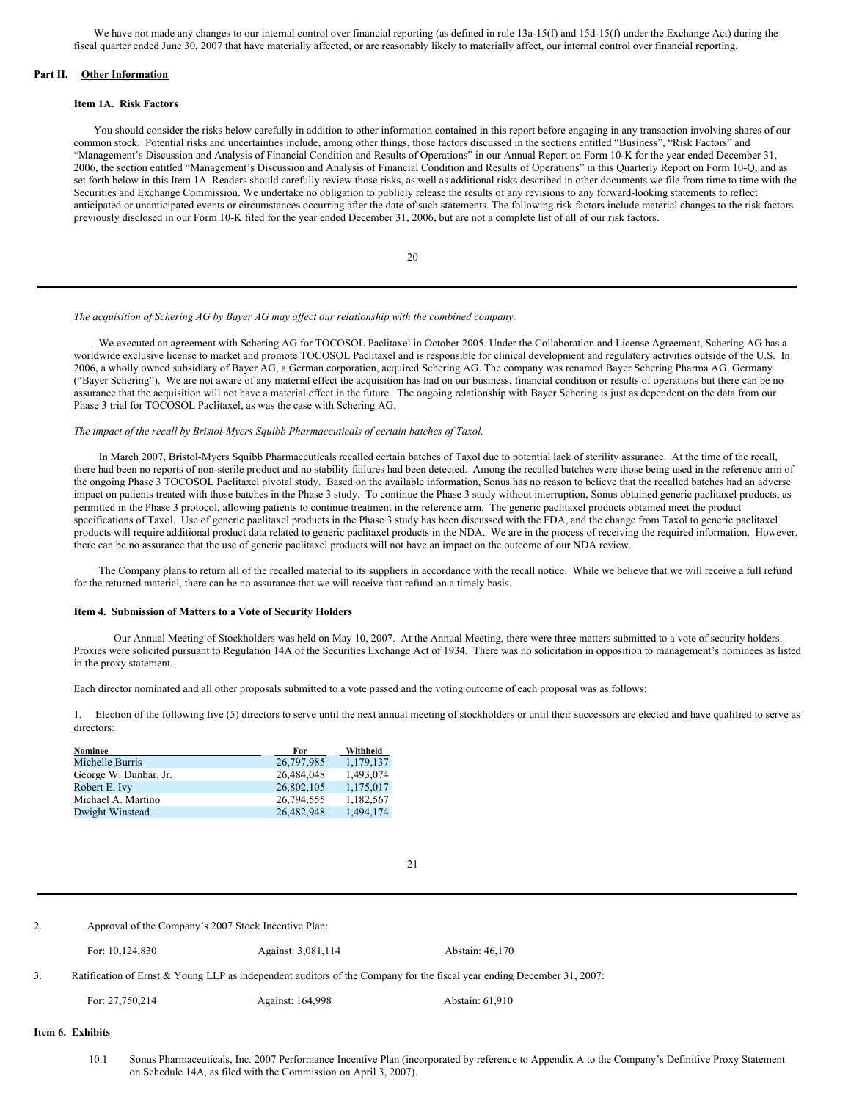We have not made any changes to our internal control over financial reporting (as defined in rule 13a-15(f) and 15d-15(f) under the Exchange Act) during the fiscal quarter ended June 30, 2007 that have materially affected, or are reasonably likely to materially affect, our internal control over financial reporting.

## **Part II. Other Information**

## <span id="page-11-1"></span><span id="page-11-0"></span>**Item 1A. Risk Factors**

You should consider the risks below carefully in addition to other information contained in this report before engaging in any transaction involving shares of our common stock. Potential risks and uncertainties include, among other things, those factors discussed in the sections entitled "Business", "Risk Factors" and "Management's Discussion and Analysis of Financial Condition and Results of Operations" in our Annual Report on Form 10-K for the year ended December 31, 2006, the section entitled "Management's Discussion and Analysis of Financial Condition and Results of Operations" in this Quarterly Report on Form 10-Q, and as set forth below in this Item 1A. Readers should carefully review those risks, as well as additional risks described in other documents we file from time to time with the Securities and Exchange Commission. We undertake no obligation to publicly release the results of any revisions to any forward-looking statements to reflect anticipated or unanticipated events or circumstances occurring after the date of such statements. The following risk factors include material changes to the risk factors previously disclosed in our Form 10-K filed for the year ended December 31, 2006, but are not a complete list of all of our risk factors.

20

*The acquisition of Schering AG by Bayer AG may af ect our relationship with the combined company.*

We executed an agreement with Schering AG for TOCOSOL Paclitaxel in October 2005. Under the Collaboration and License Agreement, Schering AG has a worldwide exclusive license to market and promote TOCOSOL Paclitaxel and is responsible for clinical development and regulatory activities outside of the U.S. In 2006, a wholly owned subsidiary of Bayer AG, a German corporation, acquired Schering AG. The company was renamed Bayer Schering Pharma AG, Germany ("Bayer Schering"). We are not aware of any material effect the acquisition has had on our business, financial condition or results of operations but there can be no assurance that the acquisition will not have a material effect in the future. The ongoing relationship with Bayer Schering is just as dependent on the data from our Phase 3 trial for TOCOSOL Paclitaxel, as was the case with Schering AG.

*The impact of the recall by Bristol-Myers Squibb Pharmaceuticals of certain batches of Taxol.*

In March 2007, Bristol-Myers Squibb Pharmaceuticals recalled certain batches of Taxol due to potential lack of sterility assurance. At the time of the recall, there had been no reports of non-sterile product and no stability failures had been detected. Among the recalled batches were those being used in the reference arm of the ongoing Phase 3 TOCOSOL Paclitaxel pivotal study. Based on the available information, Sonus has no reason to believe that the recalled batches had an adverse impact on patients treated with those batches in the Phase 3 study. To continue the Phase 3 study without interruption, Sonus obtained generic paclitaxel products, as permitted in the Phase 3 protocol, allowing patients to continue treatment in the reference arm. The generic paclitaxel products obtained meet the product specifications of Taxol. Use of generic paclitaxel products in the Phase 3 study has been discussed with the FDA, and the change from Taxol to generic paclitaxel products will require additional product data related to generic paclitaxel products in the NDA. We are in the process of receiving the required information. However, there can be no assurance that the use of generic paclitaxel products will not have an impact on the outcome of our NDA review.

The Company plans to return all of the recalled material to its suppliers in accordance with the recall notice. While we believe that we will receive a full refund for the returned material, there can be no assurance that we will receive that refund on a timely basis.

#### **Item 4. Submission of Matters to a Vote of Security Holders**

Our Annual Meeting of Stockholders was held on May 10, 2007. At the Annual Meeting, there were three matters submitted to a vote of security holders. Proxies were solicited pursuant to Regulation 14A of the Securities Exchange Act of 1934. There was no solicitation in opposition to management's nominees as listed in the proxy statement.

Each director nominated and all other proposals submitted to a vote passed and the voting outcome of each proposal was as follows:

1. Election of the following five (5) directors to serve until the next annual meeting of stockholders or until their successors are elected and have qualified to serve as directors:

| For        | Withheld  |
|------------|-----------|
| 26,797,985 | 1,179,137 |
| 26,484,048 | 1.493.074 |
| 26,802,105 | 1,175,017 |
| 26,794,555 | 1,182,567 |
| 26,482,948 | 1,494,174 |
|            |           |

<span id="page-11-2"></span> $21$ 

2. Approval of the Company's 2007 Stock Incentive Plan: For: 10,124,830 Against: 3,081,114 Abstain: 46,170 3. Ratification of Ernst & Young LLP as independent auditors of the Company for the fiscal year ending December 31, 2007: For: 27,750,214 Against: 164,998 Abstain: 61,910 **Item 6. Exhibits**

<span id="page-11-3"></span>10.1 Sonus Pharmaceuticals, Inc. 2007 Performance Incentive Plan (incorporated by reference to Appendix A to the Company's Definitive Proxy Statement on Schedule 14A, as filed with the Commission on April 3, 2007).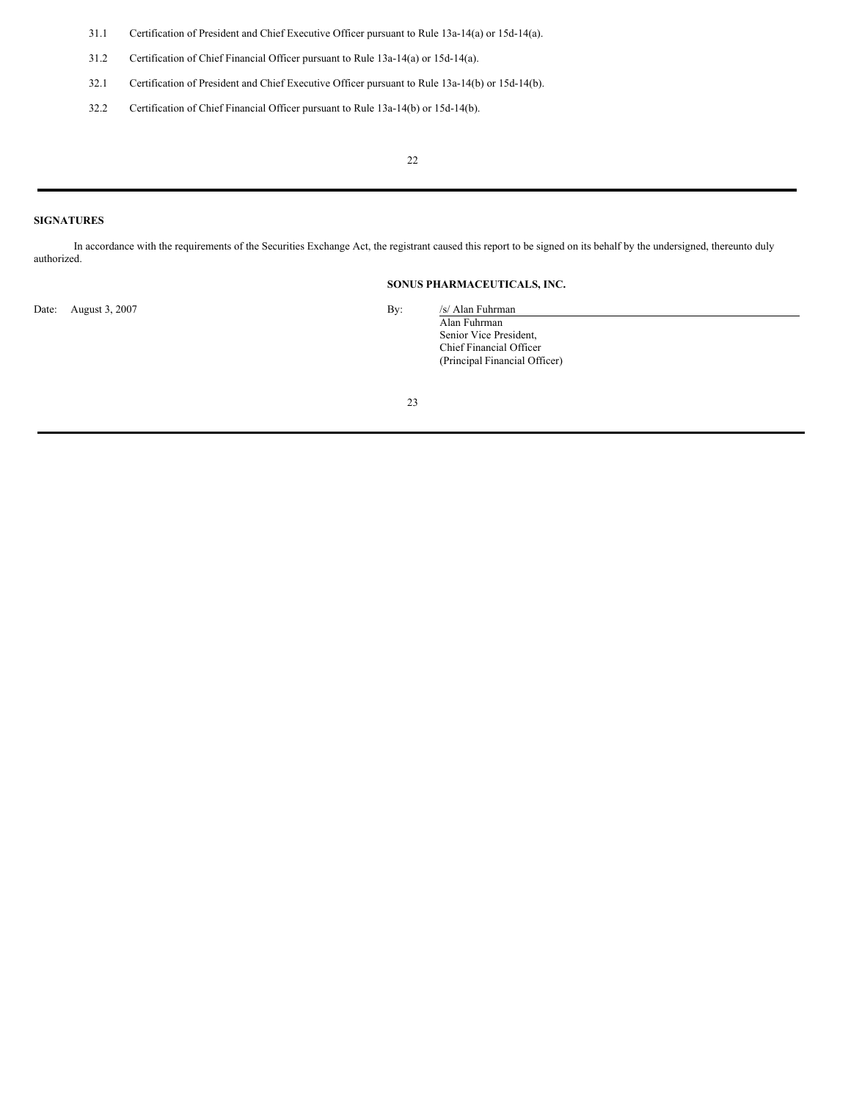- 31.1 Certification of President and Chief Executive Officer pursuant to Rule 13a-14(a) or 15d-14(a).
- 31.2 Certification of Chief Financial Officer pursuant to Rule 13a-14(a) or 15d-14(a).
- 32.1 Certification of President and Chief Executive Officer pursuant to Rule 13a-14(b) or 15d-14(b).
- 32.2 Certification of Chief Financial Officer pursuant to Rule 13a-14(b) or 15d-14(b).

# **SIGNATURES**

In accordance with the requirements of the Securities Exchange Act, the registrant caused this report to be signed on its behalf by the undersigned, thereunto duly authorized.

# **SONUS PHARMACEUTICALS, INC.**

Date: August 3, 2007 By: /s/ Alan Fuhrman

Alan Fuhrman Senior Vice President, Chief Financial Officer (Principal Financial Officer)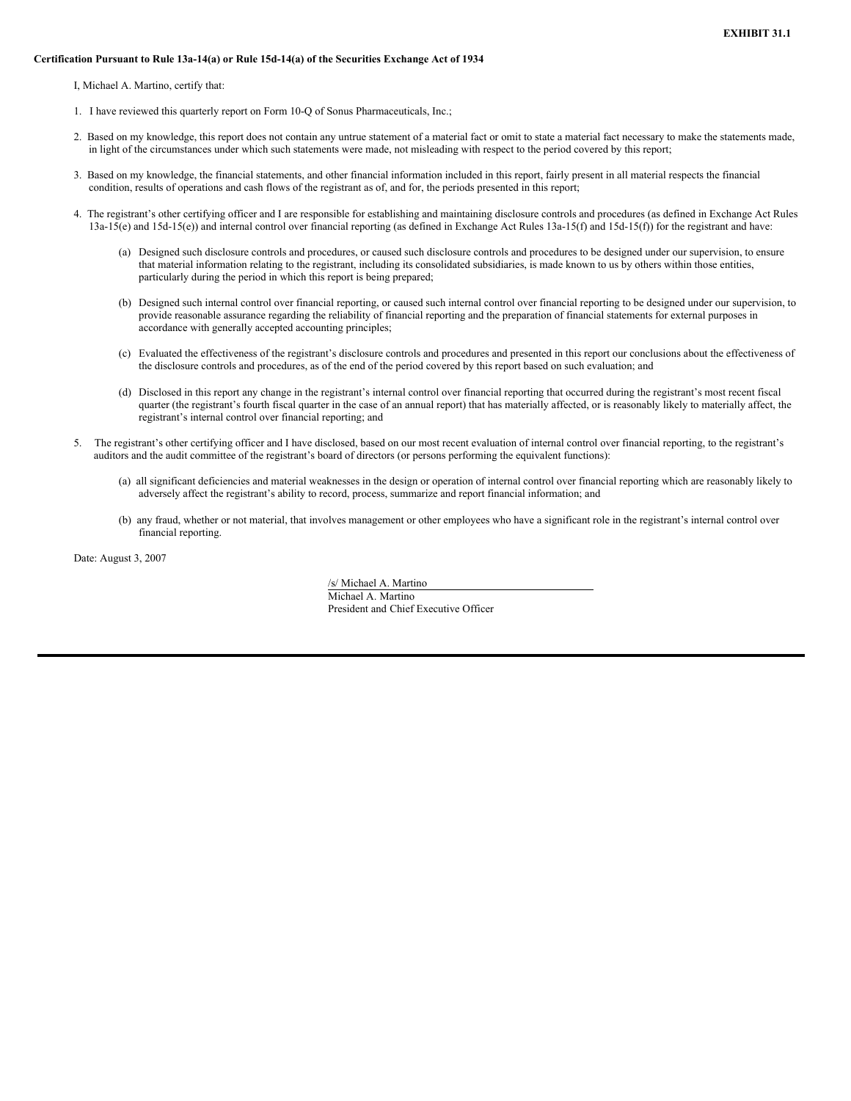#### **Certification Pursuant to Rule 13a-14(a) or Rule 15d-14(a) of the Securities Exchange Act of 1934**

I, Michael A. Martino, certify that:

- 1. I have reviewed this quarterly report on Form 10-Q of Sonus Pharmaceuticals, Inc.;
- 2. Based on my knowledge, this report does not contain any untrue statement of a material fact or omit to state a material fact necessary to make the statements made, in light of the circumstances under which such statements were made, not misleading with respect to the period covered by this report;
- 3. Based on my knowledge, the financial statements, and other financial information included in this report, fairly present in all material respects the financial condition, results of operations and cash flows of the registrant as of, and for, the periods presented in this report;
- 4. The registrant's other certifying officer and I are responsible for establishing and maintaining disclosure controls and procedures (as defined in Exchange Act Rules  $13a-15(e)$  and  $15d-15(e)$ ) and internal control over financial reporting (as defined in Exchange Act Rules  $13a-15(f)$  and  $15d-15(f)$ ) for the registrant and have:
	- (a) Designed such disclosure controls and procedures, or caused such disclosure controls and procedures to be designed under our supervision, to ensure that material information relating to the registrant, including its consolidated subsidiaries, is made known to us by others within those entities, particularly during the period in which this report is being prepared;
	- (b) Designed such internal control over financial reporting, or caused such internal control over financial reporting to be designed under our supervision, to provide reasonable assurance regarding the reliability of financial reporting and the preparation of financial statements for external purposes in accordance with generally accepted accounting principles;
	- (c) Evaluated the effectiveness of the registrant's disclosure controls and procedures and presented in this report our conclusions about the effectiveness of the disclosure controls and procedures, as of the end of the period covered by this report based on such evaluation; and
	- (d) Disclosed in this report any change in the registrant's internal control over financial reporting that occurred during the registrant's most recent fiscal quarter (the registrant's fourth fiscal quarter in the case of an annual report) that has materially affected, or is reasonably likely to materially affect, the registrant's internal control over financial reporting; and
- 5. The registrant's other certifying officer and I have disclosed, based on our most recent evaluation of internal control over financial reporting, to the registrant's auditors and the audit committee of the registrant's board of directors (or persons performing the equivalent functions):
	- (a) all significant deficiencies and material weaknesses in the design or operation of internal control over financial reporting which are reasonably likely to adversely affect the registrant's ability to record, process, summarize and report financial information; and
	- (b) any fraud, whether or not material, that involves management or other employees who have a significant role in the registrant's internal control over financial reporting.

Date: August 3, 2007

/s/ Michael A. Martino

Michael A. Martino President and Chief Executive Officer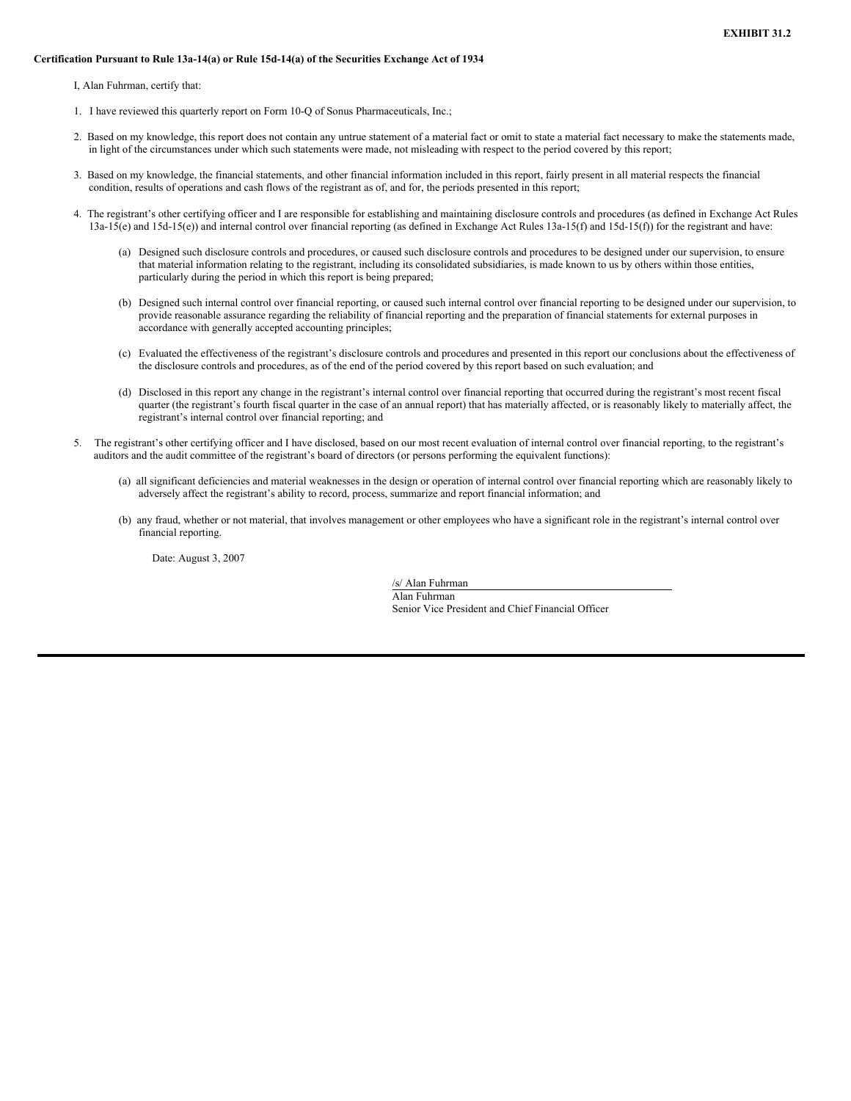#### **Certification Pursuant to Rule 13a-14(a) or Rule 15d-14(a) of the Securities Exchange Act of 1934**

I, Alan Fuhrman, certify that:

- 1. I have reviewed this quarterly report on Form 10-Q of Sonus Pharmaceuticals, Inc.;
- 2. Based on my knowledge, this report does not contain any untrue statement of a material fact or omit to state a material fact necessary to make the statements made, in light of the circumstances under which such statements were made, not misleading with respect to the period covered by this report;
- 3. Based on my knowledge, the financial statements, and other financial information included in this report, fairly present in all material respects the financial condition, results of operations and cash flows of the registrant as of, and for, the periods presented in this report;
- 4. The registrant's other certifying officer and I are responsible for establishing and maintaining disclosure controls and procedures (as defined in Exchange Act Rules  $13a-15(e)$  and  $15d-15(e)$ ) and internal control over financial reporting (as defined in Exchange Act Rules  $13a-15(f)$  and  $15d-15(f)$ ) for the registrant and have:
	- (a) Designed such disclosure controls and procedures, or caused such disclosure controls and procedures to be designed under our supervision, to ensure that material information relating to the registrant, including its consolidated subsidiaries, is made known to us by others within those entities, particularly during the period in which this report is being prepared;
	- (b) Designed such internal control over financial reporting, or caused such internal control over financial reporting to be designed under our supervision, to provide reasonable assurance regarding the reliability of financial reporting and the preparation of financial statements for external purposes in accordance with generally accepted accounting principles;
	- (c) Evaluated the effectiveness of the registrant's disclosure controls and procedures and presented in this report our conclusions about the effectiveness of the disclosure controls and procedures, as of the end of the period covered by this report based on such evaluation; and
	- (d) Disclosed in this report any change in the registrant's internal control over financial reporting that occurred during the registrant's most recent fiscal quarter (the registrant's fourth fiscal quarter in the case of an annual report) that has materially affected, or is reasonably likely to materially affect, the registrant's internal control over financial reporting; and
- 5. The registrant's other certifying officer and I have disclosed, based on our most recent evaluation of internal control over financial reporting, to the registrant's auditors and the audit committee of the registrant's board of directors (or persons performing the equivalent functions):
	- (a) all significant deficiencies and material weaknesses in the design or operation of internal control over financial reporting which are reasonably likely to adversely affect the registrant's ability to record, process, summarize and report financial information; and
	- (b) any fraud, whether or not material, that involves management or other employees who have a significant role in the registrant's internal control over financial reporting.

Date: August 3, 2007

/s/ Alan Fuhrman Alan Fuhrman Senior Vice President and Chief Financial Officer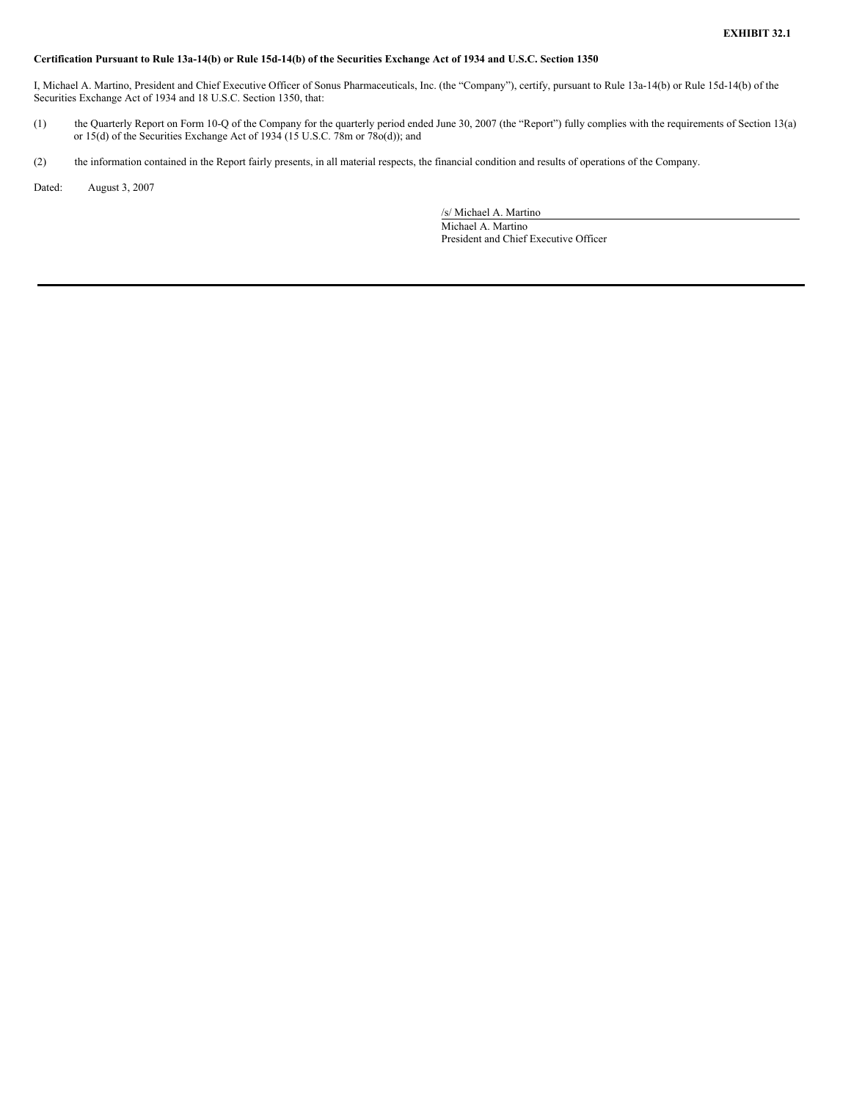# Certification Pursuant to Rule 13a-14(b) or Rule 15d-14(b) of the Securities Exchange Act of 1934 and U.S.C. Section 1350

I, Michael A. Martino, President and Chief Executive Officer of Sonus Pharmaceuticals, Inc. (the "Company"), certify, pursuant to Rule 13a-14(b) or Rule 15d-14(b) of the Securities Exchange Act of 1934 and 18 U.S.C. Section 1350, that:

- (1) the Quarterly Report on Form 10-Q of the Company for the quarterly period ended June 30, 2007 (the "Report") fully complies with the requirements of Section 13(a) or 15(d) of the Securities Exchange Act of 1934 (15 U.S.C. 78m or 78o(d)); and
- (2) the information contained in the Report fairly presents, in all material respects, the financial condition and results of operations of the Company.

Dated: August 3, 2007

/s/ Michael A. Martino Michael A. Martino President and Chief Executive Officer